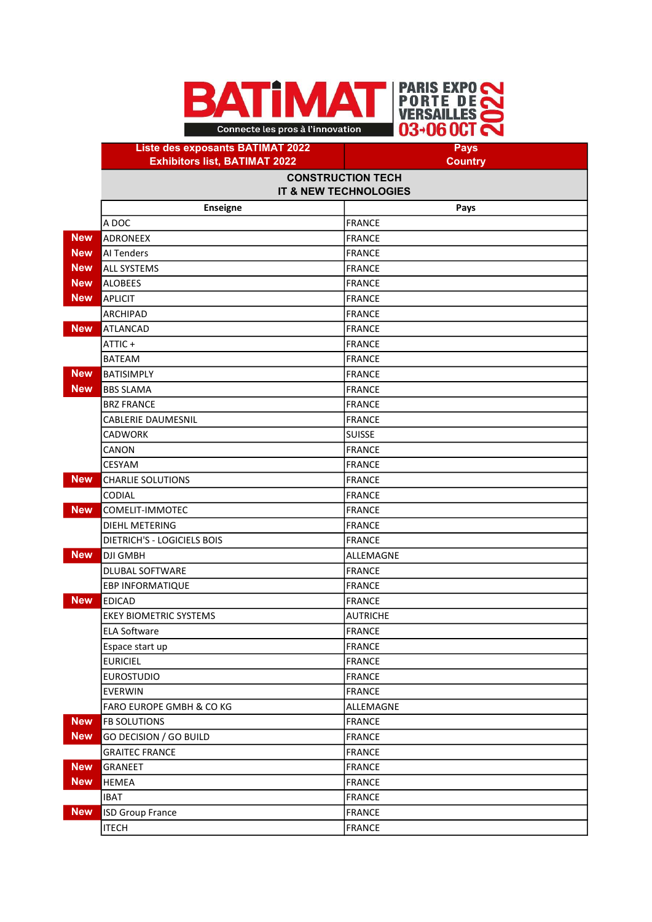

Liste des exposants BATIMAT 2022 Exhibitors list, BATIMAT 2022 Pays **Country** Enseigne **Pays** A DOC FRANCE New ADRONEEX FRANCE New AI Tenders **FRANCE** New ALL SYSTEMS FRANCE New ALOBEES FRANCE New <mark>APLICIT</mark> And the second of the second of the second of the second of the second of the second of the second of the second of the second of the second of the second of the second of the second of the second of the seco ARCHIPAD **FRANCE** New ATLANCAD FRANCE ATTIC + **FRANCE** BATEAM FRANCE New BATISIMPLY **FRANCE** New BBS SLAMA FRANCE **BRZ FRANCE** FRANCE CABLERIE DAUMESNIL FRANCE CADWORK SUISSE SUISSE **CANON** FRANCE **CESYAM** FRANCE New CHARLIE SOLUTIONS FRANCE CODIAL FRANCE New COMELIT-IMMOTEC FRANCE DIEHL METERING FRANCE DIETRICH'S - LOGICIELS BOIS FRANCE New DJI GMBH ALLEMAGNE DLUBAL SOFTWARE FRANCE EBP INFORMATIQUE FRANCE New <mark>EDICAD extended the state of the state of the state of the state of the state of</mark> the state of the state of the state of the state of the state of the state of the state of the state of the state of the state of the s EKEY BIOMETRIC SYSTEMS AUTRICHE **ELA Software FRANCE** Espace start up FRANCE EURICIEL **FRANCE** EUROSTUDIO **FRANCE** EVERWIN FRANCE FARO EUROPE GMBH & CO KG ALLEMAGNE New FB SOLUTIONS FRANCE New GO DECISION / GO BUILD FRANCE GRAITEC FRANCE **FRANCE FRANCE** New GRANEET **FRANCE** New HEMEA FRANCE IBAT **FRANCE** New ISD Group France FRANCE ITECH **FRANCE** CONSTRUCTION TECH IT & NEW TECHNOLOGIES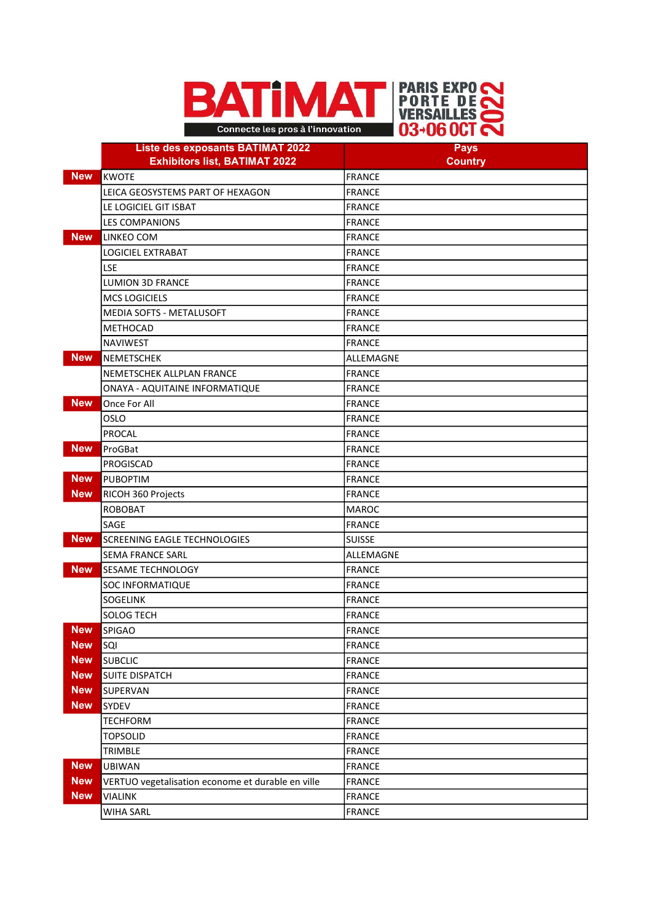



|            | <b>Liste des exposants BATIMAT 2022</b><br><b>Exhibitors list, BATIMAT 2022</b> | <b>Pays</b><br><b>Country</b> |
|------------|---------------------------------------------------------------------------------|-------------------------------|
| <b>New</b> | <b>KWOTE</b>                                                                    | <b>FRANCE</b>                 |
|            | LEICA GEOSYSTEMS PART OF HEXAGON                                                | <b>FRANCE</b>                 |
|            | LE LOGICIEL GIT ISBAT                                                           | FRANCE                        |
|            | LES COMPANIONS                                                                  | FRANCE                        |
| <b>New</b> | LINKEO COM                                                                      | FRANCE                        |
|            | <b>LOGICIEL EXTRABAT</b>                                                        | FRANCE                        |
|            | LSE                                                                             | FRANCE                        |
|            | <b>LUMION 3D FRANCE</b>                                                         | <b>FRANCE</b>                 |
|            | <b>MCS LOGICIELS</b>                                                            | FRANCE                        |
|            | MEDIA SOFTS - METALUSOFT                                                        | <b>FRANCE</b>                 |
|            | <b>METHOCAD</b>                                                                 | <b>FRANCE</b>                 |
|            | <b>NAVIWEST</b>                                                                 | <b>FRANCE</b>                 |
| <b>New</b> | <b>NEMETSCHEK</b>                                                               | ALLEMAGNE                     |
|            | NEMETSCHEK ALLPLAN FRANCE                                                       | FRANCE                        |
|            | <b>ONAYA - AQUITAINE INFORMATIQUE</b>                                           | FRANCE                        |
| <b>New</b> | Once For All                                                                    | FRANCE                        |
|            | <b>OSLO</b>                                                                     | FRANCE                        |
|            | <b>PROCAL</b>                                                                   | FRANCE                        |
| <b>New</b> | ProGBat                                                                         | <b>FRANCE</b>                 |
|            | <b>PROGISCAD</b>                                                                | FRANCE                        |
| <b>New</b> | <b>PUBOPTIM</b>                                                                 | <b>FRANCE</b>                 |
| <b>New</b> | RICOH 360 Projects                                                              | FRANCE                        |
|            | <b>ROBOBAT</b>                                                                  | <b>MAROC</b>                  |
|            | SAGE                                                                            | FRANCE                        |
| <b>New</b> | <b>SCREENING EAGLE TECHNOLOGIES</b>                                             | <b>SUISSE</b>                 |
|            | <b>SEMA FRANCE SARL</b>                                                         | ALLEMAGNE                     |
| <b>New</b> | <b>SESAME TECHNOLOGY</b>                                                        | FRANCE                        |
|            | <b>SOC INFORMATIQUE</b>                                                         | FRANCE                        |
|            | <b>SOGELINK</b>                                                                 | FRANCE                        |
|            | <b>SOLOG TECH</b>                                                               | FRANCE                        |
| <b>New</b> | SPIGAO                                                                          | FRANCE                        |
| <b>New</b> | SQI                                                                             | FRANCE                        |
| <b>New</b> | <b>SUBCLIC</b>                                                                  | <b>FRANCE</b>                 |
| <b>New</b> | <b>SUITE DISPATCH</b>                                                           | <b>FRANCE</b>                 |
| <b>New</b> | <b>SUPERVAN</b>                                                                 | <b>FRANCE</b>                 |
| <b>New</b> | <b>SYDEV</b>                                                                    | FRANCE                        |
|            | <b>TECHFORM</b>                                                                 | <b>FRANCE</b>                 |
|            | <b>TOPSOLID</b>                                                                 | FRANCE                        |
|            | TRIMBLE                                                                         | <b>FRANCE</b>                 |
| <b>New</b> | <b>UBIWAN</b>                                                                   | FRANCE                        |
| <b>New</b> | VERTUO vegetalisation econome et durable en ville                               | <b>FRANCE</b>                 |
| <b>New</b> | <b>VIALINK</b>                                                                  | <b>FRANCE</b>                 |
|            | <b>WIHA SARL</b>                                                                | <b>FRANCE</b>                 |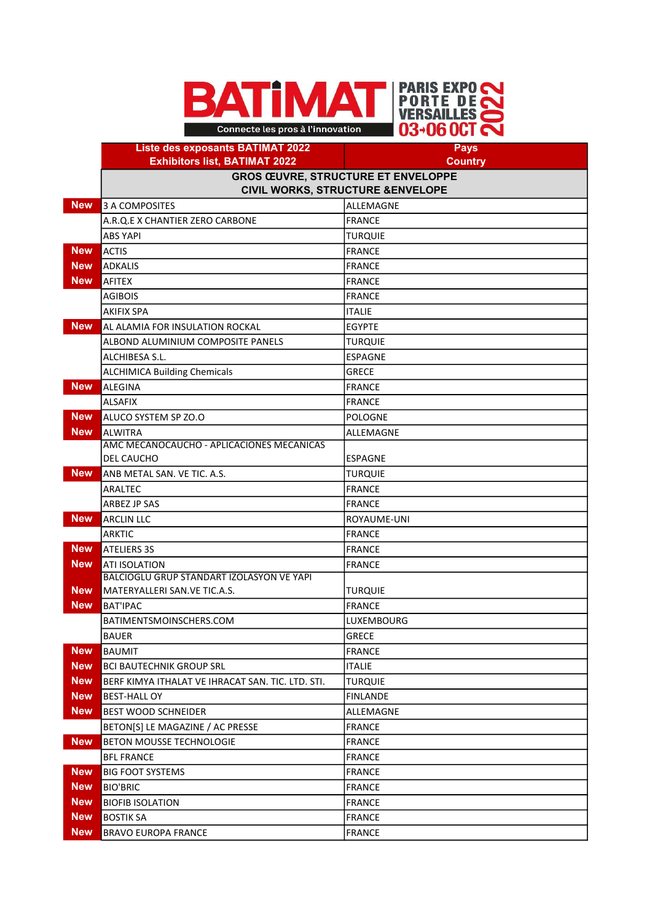

|            | <b>Liste des exposants BATIMAT 2022</b>           | <b>Pays</b>                                                                   |
|------------|---------------------------------------------------|-------------------------------------------------------------------------------|
|            | <b>Exhibitors list, BATIMAT 2022</b>              | <b>Country</b>                                                                |
|            |                                                   | <b>GROS ŒUVRE, STRUCTURE ET ENVELOPPE</b><br>CIVIL WORKS, STRUCTURE &ENVELOPE |
| <b>New</b> | 3 A COMPOSITES                                    | ALLEMAGNE                                                                     |
|            | A.R.Q.E X CHANTIER ZERO CARBONE                   | <b>FRANCE</b>                                                                 |
|            | <b>ABS YAPI</b>                                   | <b>TURQUIE</b>                                                                |
| <b>New</b> | <b>ACTIS</b>                                      | <b>FRANCE</b>                                                                 |
| <b>New</b> | <b>ADKALIS</b>                                    | <b>FRANCE</b>                                                                 |
| <b>New</b> | <b>AFITEX</b>                                     | <b>FRANCE</b>                                                                 |
|            | <b>AGIBOIS</b>                                    | <b>FRANCE</b>                                                                 |
|            | <b>AKIFIX SPA</b>                                 | <b>ITALIE</b>                                                                 |
| <b>New</b> | AL ALAMIA FOR INSULATION ROCKAL                   | <b>EGYPTE</b>                                                                 |
|            | ALBOND ALUMINIUM COMPOSITE PANELS                 | <b>TURQUIE</b>                                                                |
|            | ALCHIBESA S.L.                                    | <b>ESPAGNE</b>                                                                |
|            | <b>ALCHIMICA Building Chemicals</b>               | <b>GRECE</b>                                                                  |
| <b>New</b> | <b>ALEGINA</b>                                    | <b>FRANCE</b>                                                                 |
|            | <b>ALSAFIX</b>                                    | <b>FRANCE</b>                                                                 |
| <b>New</b> | ALUCO SYSTEM SP ZO.O                              | <b>POLOGNE</b>                                                                |
| <b>New</b> | <b>ALWITRA</b>                                    | ALLEMAGNE                                                                     |
|            | AMC MECANOCAUCHO - APLICACIONES MECANICAS         |                                                                               |
|            | <b>DEL CAUCHO</b>                                 | <b>ESPAGNE</b>                                                                |
| <b>New</b> | ANB METAL SAN. VE TIC. A.S.                       | <b>TURQUIE</b>                                                                |
|            | ARALTEC                                           | <b>FRANCE</b>                                                                 |
|            | ARBEZ JP SAS                                      | <b>FRANCE</b>                                                                 |
| <b>New</b> | <b>ARCLIN LLC</b>                                 | ROYAUME-UNI                                                                   |
|            | <b>ARKTIC</b>                                     | <b>FRANCE</b>                                                                 |
| <b>New</b> | <b>ATELIERS 3S</b>                                | <b>FRANCE</b>                                                                 |
| <b>New</b> | <b>ATI ISOLATION</b>                              | <b>FRANCE</b>                                                                 |
|            | BALCIOGLU GRUP STANDART IZOLASYON VE YAPI         |                                                                               |
| <b>New</b> | MATERYALLERI SAN.VE TIC.A.S.                      | <b>TURQUIE</b>                                                                |
| <b>New</b> | <b>BAT'IPAC</b>                                   | <b>FRANCE</b>                                                                 |
|            | BATIMENTSMOINSCHERS.COM                           | <b>LUXEMBOURG</b>                                                             |
|            | <b>BAUER</b>                                      | <b>GRECE</b>                                                                  |
| <b>New</b> | <b>BAUMIT</b>                                     | <b>FRANCE</b>                                                                 |
| <b>New</b> | <b>BCI BAUTECHNIK GROUP SRL</b>                   | <b>ITALIE</b>                                                                 |
| <b>New</b> | BERF KIMYA ITHALAT VE IHRACAT SAN. TIC. LTD. STI. | <b>TURQUIE</b>                                                                |
| <b>New</b> | <b>BEST-HALL OY</b>                               | <b>FINLANDE</b>                                                               |
| <b>New</b> | <b>BEST WOOD SCHNEIDER</b>                        | ALLEMAGNE                                                                     |
|            | BETON[S] LE MAGAZINE / AC PRESSE                  | <b>FRANCE</b>                                                                 |
| <b>New</b> | <b>BETON MOUSSE TECHNOLOGIE</b>                   | <b>FRANCE</b>                                                                 |
|            | <b>BFL FRANCE</b>                                 | <b>FRANCE</b>                                                                 |
| <b>New</b> | <b>BIG FOOT SYSTEMS</b>                           | <b>FRANCE</b>                                                                 |
| <b>New</b> | <b>BIO'BRIC</b>                                   | <b>FRANCE</b>                                                                 |
| <b>New</b> | <b>BIOFIB ISOLATION</b>                           | <b>FRANCE</b>                                                                 |
| <b>New</b> | <b>BOSTIK SA</b>                                  | <b>FRANCE</b>                                                                 |

New BRAVO EUROPA FRANCE FRANCE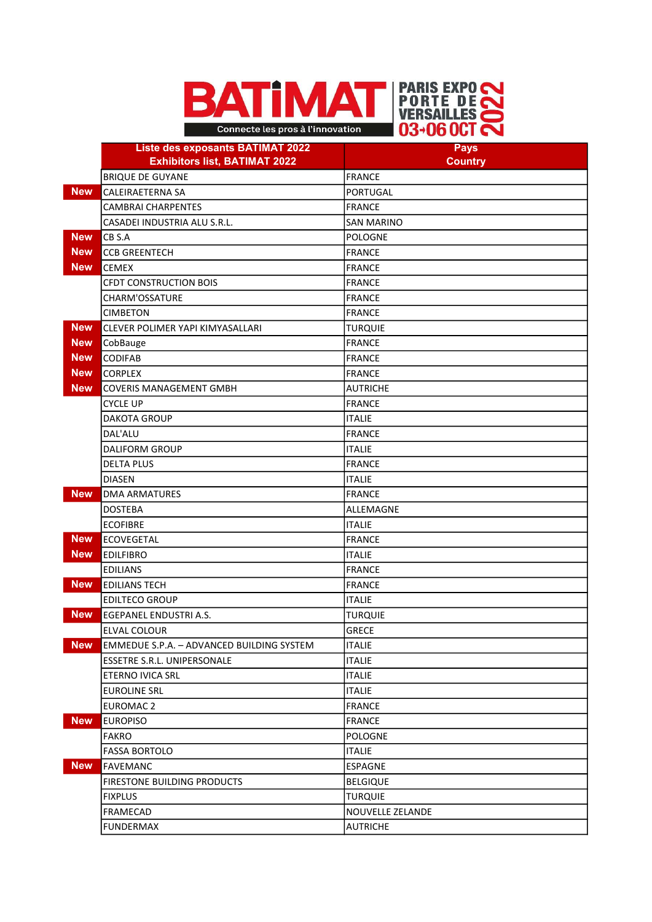

|            | <b>Liste des exposants BATIMAT 2022</b><br><b>Exhibitors list, BATIMAT 2022</b> | <b>Pays</b><br><b>Country</b> |
|------------|---------------------------------------------------------------------------------|-------------------------------|
|            | <b>BRIQUE DE GUYANE</b>                                                         | <b>FRANCE</b>                 |
| <b>New</b> | <b>CALEIRAETERNA SA</b>                                                         | <b>PORTUGAL</b>               |
|            | <b>CAMBRAI CHARPENTES</b>                                                       | <b>FRANCE</b>                 |
|            | CASADEI INDUSTRIA ALU S.R.L.                                                    | <b>SAN MARINO</b>             |
| <b>New</b> | CB <sub>S</sub> .A                                                              | <b>POLOGNE</b>                |
| <b>New</b> | <b>CCB GREENTECH</b>                                                            | <b>FRANCE</b>                 |
| <b>New</b> | <b>CEMEX</b>                                                                    | <b>FRANCE</b>                 |
|            | <b>CFDT CONSTRUCTION BOIS</b>                                                   | <b>FRANCE</b>                 |
|            | CHARM'OSSATURE                                                                  | <b>FRANCE</b>                 |
|            | <b>CIMBETON</b>                                                                 | <b>FRANCE</b>                 |
| <b>New</b> | CLEVER POLIMER YAPI KIMYASALLARI                                                | <b>TURQUIE</b>                |
| <b>New</b> | CobBauge                                                                        | <b>FRANCE</b>                 |
| <b>New</b> | <b>CODIFAB</b>                                                                  | <b>FRANCE</b>                 |
| <b>New</b> | <b>CORPLEX</b>                                                                  | <b>FRANCE</b>                 |
| <b>New</b> | <b>COVERIS MANAGEMENT GMBH</b>                                                  | <b>AUTRICHE</b>               |
|            | <b>CYCLE UP</b>                                                                 | <b>FRANCE</b>                 |
|            | <b>DAKOTA GROUP</b>                                                             | <b>ITALIE</b>                 |
|            | DAL'ALU                                                                         | <b>FRANCE</b>                 |
|            | <b>DALIFORM GROUP</b>                                                           | <b>ITALIE</b>                 |
|            | <b>DELTA PLUS</b>                                                               | <b>FRANCE</b>                 |
|            | <b>DIASEN</b>                                                                   | <b>ITALIE</b>                 |
| <b>New</b> | <b>DMA ARMATURES</b>                                                            | <b>FRANCE</b>                 |
|            | <b>DOSTEBA</b>                                                                  | ALLEMAGNE                     |
|            | <b>ECOFIBRE</b>                                                                 | <b>ITALIE</b>                 |
| <b>New</b> | <b>ECOVEGETAL</b>                                                               | <b>FRANCE</b>                 |
| <b>New</b> | <b>EDILFIBRO</b>                                                                | <b>ITALIE</b>                 |
|            | <b>EDILIANS</b>                                                                 | <b>FRANCE</b>                 |
| <b>New</b> | <b>EDILIANS TECH</b>                                                            | <b>FRANCE</b>                 |
|            | <b>EDILTECO GROUP</b>                                                           | <b>ITALIE</b>                 |
| <b>New</b> | EGEPANEL ENDUSTRI A.S.                                                          | <b>TURQUIE</b>                |
|            | ELVAL COLOUR                                                                    | GRECE                         |
| <b>New</b> | EMMEDUE S.P.A. – ADVANCED BUILDING SYSTEM                                       | <b>ITALIE</b>                 |
|            | ESSETRE S.R.L. UNIPERSONALE                                                     | <b>ITALIE</b>                 |
|            | ETERNO IVICA SRL                                                                | <b>ITALIE</b>                 |
|            | <b>EUROLINE SRL</b>                                                             | <b>ITALIE</b>                 |
|            | EUROMAC <sub>2</sub>                                                            | <b>FRANCE</b>                 |
| <b>New</b> | <b>EUROPISO</b>                                                                 | <b>FRANCE</b>                 |
|            | <b>FAKRO</b>                                                                    | POLOGNE                       |
|            | <b>FASSA BORTOLO</b>                                                            | <b>ITALIE</b>                 |
| <b>New</b> | <b>FAVEMANC</b>                                                                 | <b>ESPAGNE</b>                |
|            | <b>FIRESTONE BUILDING PRODUCTS</b>                                              | <b>BELGIQUE</b>               |
|            | <b>FIXPLUS</b>                                                                  | <b>TURQUIE</b>                |
|            | <b>FRAMECAD</b>                                                                 | <b>NOUVELLE ZELANDE</b>       |
|            | <b>FUNDERMAX</b>                                                                | <b>AUTRICHE</b>               |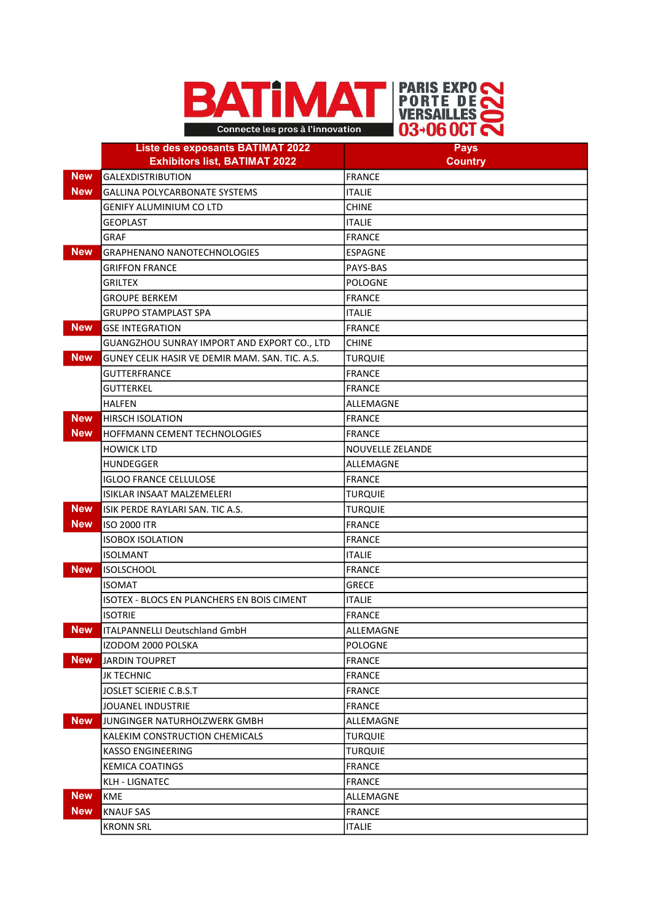



|            | <b>Liste des exposants BATIMAT 2022</b><br><b>Exhibitors list, BATIMAT 2022</b> | <b>Pays</b><br><b>Country</b> |
|------------|---------------------------------------------------------------------------------|-------------------------------|
| <b>New</b> | <b>GALEXDISTRIBUTION</b>                                                        | <b>FRANCE</b>                 |
| <b>New</b> | <b>GALLINA POLYCARBONATE SYSTEMS</b>                                            | <b>ITALIE</b>                 |
|            | <b>GENIFY ALUMINIUM CO LTD</b>                                                  | <b>CHINE</b>                  |
|            | <b>GEOPLAST</b>                                                                 | <b>ITALIE</b>                 |
|            | <b>GRAF</b>                                                                     | FRANCE                        |
| <b>New</b> | <b>GRAPHENANO NANOTECHNOLOGIES</b>                                              | <b>ESPAGNE</b>                |
|            | <b>GRIFFON FRANCE</b>                                                           | PAYS-BAS                      |
|            | <b>GRILTEX</b>                                                                  | POLOGNE                       |
|            | <b>GROUPE BERKEM</b>                                                            | FRANCE                        |
|            | <b>GRUPPO STAMPLAST SPA</b>                                                     | <b>ITALIE</b>                 |
| <b>New</b> | <b>GSE INTEGRATION</b>                                                          | FRANCE                        |
|            | GUANGZHOU SUNRAY IMPORT AND EXPORT CO., LTD                                     | <b>CHINE</b>                  |
| <b>New</b> | GUNEY CELIK HASIR VE DEMIR MAM, SAN, TIC, A.S.                                  | <b>TURQUIE</b>                |
|            | <b>GUTTERFRANCE</b>                                                             | FRANCE                        |
|            | <b>GUTTERKEL</b>                                                                | FRANCE                        |
|            | <b>HALFEN</b>                                                                   | <b>ALLEMAGNE</b>              |
| <b>New</b> | <b>HIRSCH ISOLATION</b>                                                         | FRANCE                        |
| <b>New</b> | <b>HOFFMANN CEMENT TECHNOLOGIES</b>                                             | FRANCE                        |
|            | <b>HOWICK LTD</b>                                                               | <b>NOUVELLE ZELANDE</b>       |
|            | <b>HUNDEGGER</b>                                                                | ALLEMAGNE                     |
|            | <b>IGLOO FRANCE CELLULOSE</b>                                                   | FRANCE                        |
|            | ISIKLAR INSAAT MALZEMELERI                                                      | <b>TURQUIE</b>                |
| <b>New</b> | ISIK PERDE RAYLARI SAN. TIC A.S.                                                | <b>TURQUIE</b>                |
| <b>New</b> | <b>ISO 2000 ITR</b>                                                             | FRANCE                        |
|            | <b>ISOBOX ISOLATION</b>                                                         | FRANCE                        |
|            | <b>ISOLMANT</b>                                                                 | <b>ITALIE</b>                 |
| <b>New</b> | <b>ISOLSCHOOL</b>                                                               | FRANCE                        |
|            | <b>ISOMAT</b>                                                                   | <b>GRECE</b>                  |
|            | ISOTEX - BLOCS EN PLANCHERS EN BOIS CIMENT                                      | <b>ITALIE</b>                 |
|            | <b>ISOTRIE</b>                                                                  | FRANCE                        |
| <b>New</b> | ITALPANNELLI Deutschland GmbH                                                   | ALLEMAGNE                     |
|            | IZODOM 2000 POLSKA                                                              | <b>POLOGNE</b>                |
| <b>New</b> | <b>JARDIN TOUPRET</b>                                                           | <b>FRANCE</b>                 |
|            | <b>JK TECHNIC</b>                                                               | FRANCE                        |
|            | JOSLET SCIERIE C.B.S.T                                                          | <b>FRANCE</b>                 |
|            | JOUANEL INDUSTRIE                                                               | <b>FRANCE</b>                 |
| <b>New</b> | JUNGINGER NATURHOLZWERK GMBH                                                    | ALLEMAGNE                     |
|            | KALEKIM CONSTRUCTION CHEMICALS                                                  | <b>TURQUIE</b>                |
|            | <b>KASSO ENGINEERING</b>                                                        | <b>TURQUIE</b>                |
|            | KEMICA COATINGS                                                                 | <b>FRANCE</b>                 |
|            | KLH - LIGNATEC                                                                  | FRANCE                        |
| <b>New</b> | <b>KME</b>                                                                      | ALLEMAGNE                     |
| <b>New</b> | <b>KNAUF SAS</b>                                                                | <b>FRANCE</b>                 |
|            | <b>KRONN SRL</b>                                                                | <b>ITALIE</b>                 |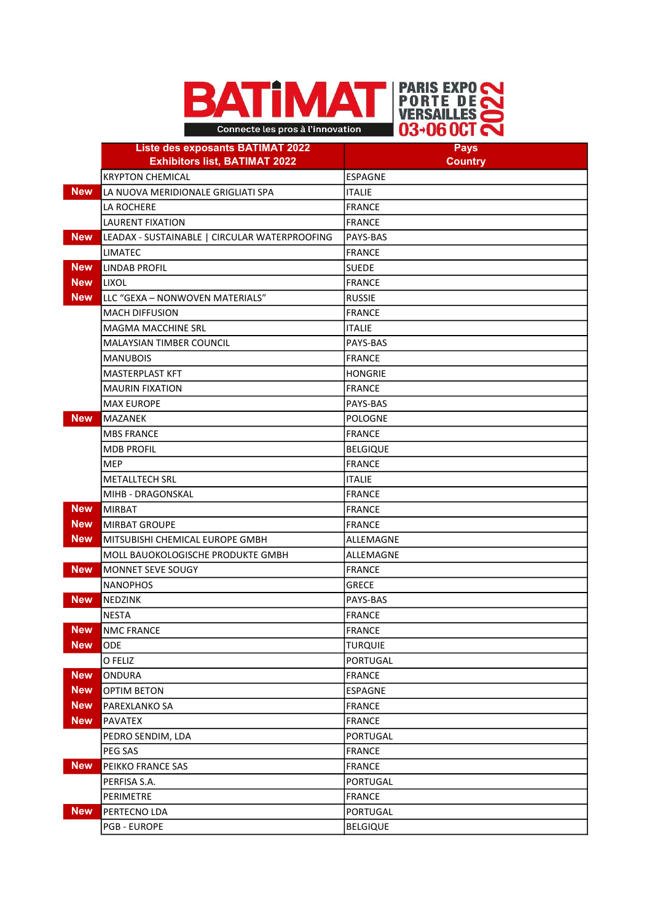



|            | <b>Liste des exposants BATIMAT 2022</b>       | <b>Pays</b>     |
|------------|-----------------------------------------------|-----------------|
|            | <b>Exhibitors list, BATIMAT 2022</b>          | <b>Country</b>  |
|            | <b>KRYPTON CHEMICAL</b>                       | <b>ESPAGNE</b>  |
| <b>New</b> | LA NUOVA MERIDIONALE GRIGLIATI SPA            | <b>ITALIE</b>   |
|            | LA ROCHERE                                    | <b>FRANCE</b>   |
|            | <b>LAURENT FIXATION</b>                       | FRANCE          |
| <b>New</b> | LEADAX - SUSTAINABLE   CIRCULAR WATERPROOFING | <b>PAYS-BAS</b> |
|            | <b>LIMATEC</b>                                | <b>FRANCE</b>   |
| <b>New</b> | <b>LINDAB PROFIL</b>                          | <b>SUEDE</b>    |
| <b>New</b> | <b>LIXOL</b>                                  | FRANCE          |
| <b>New</b> | LLC "GEXA - NONWOVEN MATERIALS"               | <b>RUSSIE</b>   |
|            | <b>MACH DIFFUSION</b>                         | <b>FRANCE</b>   |
|            | <b>MAGMA MACCHINE SRL</b>                     | <b>ITALIE</b>   |
|            | MALAYSIAN TIMBER COUNCIL                      | <b>PAYS-BAS</b> |
|            | <b>MANUBOIS</b>                               | FRANCE          |
|            | MASTERPLAST KFT                               | <b>HONGRIE</b>  |
|            | <b>MAURIN FIXATION</b>                        | FRANCE          |
|            | <b>MAX EUROPE</b>                             | PAYS-BAS        |
| <b>New</b> | <b>MAZANEK</b>                                | POLOGNE         |
|            | <b>MBS FRANCE</b>                             | FRANCE          |
|            | <b>MDB PROFIL</b>                             | <b>BELGIQUE</b> |
|            | MEP                                           | <b>FRANCE</b>   |
|            | <b>METALLTECH SRL</b>                         | <b>ITALIE</b>   |
|            | MIHB - DRAGONSKAL                             | FRANCE          |
| <b>New</b> | <b>MIRBAT</b>                                 | <b>FRANCE</b>   |
| <b>New</b> | <b>MIRBAT GROUPE</b>                          | <b>FRANCE</b>   |
| <b>New</b> | MITSUBISHI CHEMICAL EUROPE GMBH               | ALLEMAGNE       |
|            | MOLL BAUOKOLOGISCHE PRODUKTE GMBH             | ALLEMAGNE       |
| <b>New</b> | MONNET SEVE SOUGY                             | FRANCE          |
|            | <b>NANOPHOS</b>                               | <b>GRECE</b>    |
| <b>New</b> | <b>NEDZINK</b>                                | PAYS-BAS        |
|            | <b>NESTA</b>                                  | <b>FRANCE</b>   |
| <b>New</b> | <b>NMC FRANCE</b>                             | <b>FRANCE</b>   |
| <b>New</b> | <b>ODE</b>                                    | <b>TURQUIE</b>  |
|            | O FELIZ                                       | PORTUGAL        |
| <b>New</b> | ONDURA                                        | FRANCE          |
| <b>New</b> | <b>OPTIM BETON</b>                            | <b>ESPAGNE</b>  |
| <b>New</b> | PAREXLANKO SA                                 | FRANCE          |
| <b>New</b> | PAVATEX                                       | FRANCE          |
|            | PEDRO SENDIM, LDA                             | PORTUGAL        |
|            | PEG SAS                                       | FRANCE          |
| <b>New</b> | PEIKKO FRANCE SAS                             | <b>FRANCE</b>   |
|            | PERFISA S.A.                                  | PORTUGAL        |
|            | PERIMETRE                                     | FRANCE          |
| <b>New</b> | PERTECNO LDA                                  | PORTUGAL        |
|            | <b>PGB - EUROPE</b>                           | <b>BELGIQUE</b> |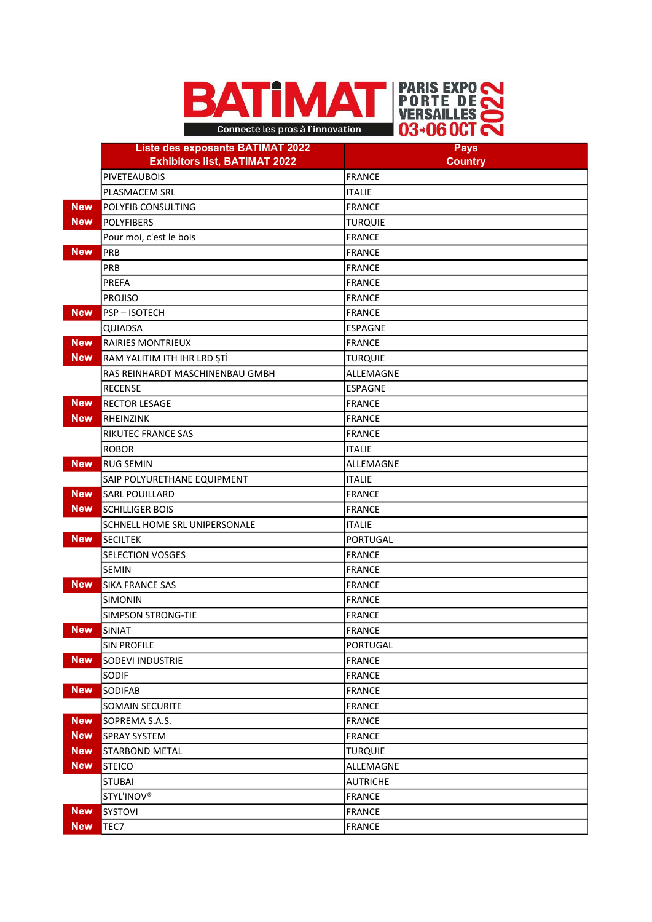



|            | Liste des exposants BATIMAT 2022<br><b>Exhibitors list, BATIMAT 2022</b> | <b>Pays</b><br><b>Country</b> |
|------------|--------------------------------------------------------------------------|-------------------------------|
|            | PIVETEAUBOIS                                                             | FRANCE                        |
|            | PLASMACEM SRL                                                            | <b>ITALIE</b>                 |
| New        | POLYFIB CONSULTING                                                       | FRANCE                        |
| <b>New</b> | <b>POLYFIBERS</b>                                                        | <b>TURQUIE</b>                |
|            | Pour moi, c'est le bois                                                  | FRANCE                        |
| <b>New</b> | <b>PRB</b>                                                               | FRANCE                        |
|            | PRB                                                                      | FRANCE                        |
|            | <b>PREFA</b>                                                             | FRANCE                        |
|            | <b>PROJISO</b>                                                           | <b>FRANCE</b>                 |
| <b>New</b> | PSP-ISOTECH                                                              | FRANCE                        |
|            | QUIADSA                                                                  | <b>ESPAGNE</b>                |
| <b>New</b> | <b>RAIRIES MONTRIEUX</b>                                                 | <b>FRANCE</b>                 |
| <b>New</b> | RAM YALITIM ITH IHR LRD ŞTİ                                              | <b>TURQUIE</b>                |
|            | RAS REINHARDT MASCHINENBAU GMBH                                          | ALLEMAGNE                     |
|            | <b>RECENSE</b>                                                           | <b>ESPAGNE</b>                |
| <b>New</b> | <b>RECTOR LESAGE</b>                                                     | FRANCE                        |
| <b>New</b> | RHEINZINK                                                                | FRANCE                        |
|            | RIKUTEC FRANCE SAS                                                       | <b>FRANCE</b>                 |
|            | <b>ROBOR</b>                                                             | <b>ITALIE</b>                 |
| <b>New</b> | <b>RUG SEMIN</b>                                                         | ALLEMAGNE                     |
|            | SAIP POLYURETHANE EQUIPMENT                                              | <b>ITALIE</b>                 |
| <b>New</b> | <b>SARL POUILLARD</b>                                                    | <b>FRANCE</b>                 |
| <b>New</b> | <b>SCHILLIGER BOIS</b>                                                   | FRANCE                        |
|            | SCHNELL HOME SRL UNIPERSONALE                                            | <b>ITALIE</b>                 |
| <b>New</b> | <b>SECILTEK</b>                                                          | PORTUGAL                      |
|            | <b>SELECTION VOSGES</b>                                                  | <b>FRANCE</b>                 |
|            | <b>SEMIN</b>                                                             | FRANCE                        |
| <b>New</b> | <b>SIKA FRANCE SAS</b>                                                   | FRANCE                        |
|            | <b>SIMONIN</b>                                                           | FRANCE                        |
|            | <b>SIMPSON STRONG-TIE</b>                                                | FRANCE                        |
| <b>New</b> | SINIAT                                                                   | <b>FRANCE</b>                 |
|            | <b>SIN PROFILE</b>                                                       | PORTUGAL                      |
| <b>New</b> | <b>SODEVI INDUSTRIE</b>                                                  | FRANCE                        |
|            | SODIF                                                                    | FRANCE                        |
| <b>New</b> | <b>SODIFAB</b>                                                           | FRANCE                        |
|            | SOMAIN SECURITE                                                          | FRANCE                        |
| <b>New</b> | SOPREMA S.A.S.                                                           | FRANCE                        |
| <b>New</b> | <b>SPRAY SYSTEM</b>                                                      | <b>FRANCE</b>                 |
| <b>New</b> | STARBOND METAL                                                           | <b>TURQUIE</b>                |
| <b>New</b> | <b>STEICO</b>                                                            | ALLEMAGNE                     |
|            | <b>STUBAI</b>                                                            | <b>AUTRICHE</b>               |
|            | STYL'INOV®                                                               | FRANCE                        |
| <b>New</b> | SYSTOVI                                                                  | FRANCE                        |
| <b>New</b> | TEC7                                                                     | <b>FRANCE</b>                 |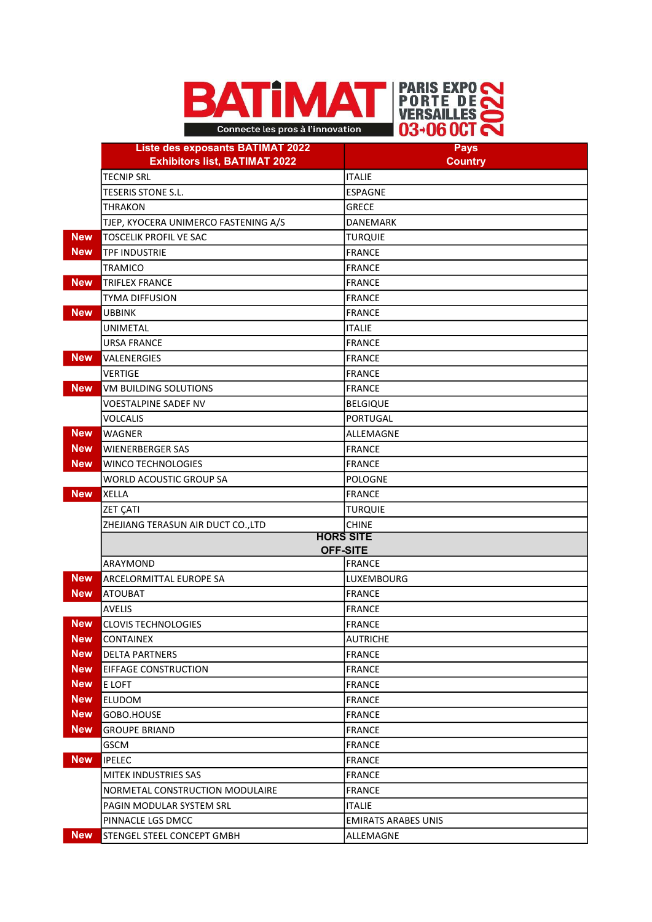

|            | <b>Liste des exposants BATIMAT 2022</b> | <b>Pays</b>                      |
|------------|-----------------------------------------|----------------------------------|
|            | <b>Exhibitors list, BATIMAT 2022</b>    | <b>Country</b>                   |
|            | <b>TECNIP SRL</b>                       | <b>ITALIE</b>                    |
|            | TESERIS STONE S.L.                      | <b>ESPAGNE</b>                   |
|            | <b>THRAKON</b>                          | <b>GRECE</b>                     |
|            | TJEP, KYOCERA UNIMERCO FASTENING A/S    | DANEMARK                         |
| <b>New</b> | <b>TOSCELIK PROFIL VE SAC</b>           | <b>TURQUIE</b>                   |
| <b>New</b> | TPF INDUSTRIE                           | <b>FRANCE</b>                    |
|            | <b>TRAMICO</b>                          | <b>FRANCE</b>                    |
| <b>New</b> | <b>TRIFLEX FRANCE</b>                   | <b>FRANCE</b>                    |
|            | TYMA DIFFUSION                          | <b>FRANCE</b>                    |
| <b>New</b> | <b>UBBINK</b>                           | <b>FRANCE</b>                    |
|            | UNIMETAL                                | <b>ITALIE</b>                    |
|            | <b>URSA FRANCE</b>                      | FRANCE                           |
| <b>New</b> | VALENERGIES                             | <b>FRANCE</b>                    |
|            | <b>VERTIGE</b>                          | FRANCE                           |
| <b>New</b> | VM BUILDING SOLUTIONS                   | <b>FRANCE</b>                    |
|            | <b>VOESTALPINE SADEF NV</b>             | <b>BELGIQUE</b>                  |
|            | <b>VOLCALIS</b>                         | PORTUGAL                         |
| <b>New</b> | <b>WAGNER</b>                           | ALLEMAGNE                        |
| <b>New</b> | <b>WIENERBERGER SAS</b>                 | <b>FRANCE</b>                    |
| <b>New</b> | <b>WINCO TECHNOLOGIES</b>               | <b>FRANCE</b>                    |
|            | WORLD ACOUSTIC GROUP SA                 | <b>POLOGNE</b>                   |
| <b>New</b> | <b>XELLA</b>                            | FRANCE                           |
|            | <b>ZET ÇATI</b>                         | <b>TURQUIE</b>                   |
|            | ZHEJIANG TERASUN AIR DUCT CO., LTD      | <b>CHINE</b>                     |
|            |                                         | <b>HORS SITE</b>                 |
|            | <b>ARAYMOND</b>                         | <b>OFF-SITE</b><br>FRANCE        |
| <b>New</b> | ARCELORMITTAL EUROPE SA                 | <b>LUXEMBOURG</b>                |
| <b>New</b> | <b>ATOUBAT</b>                          | <b>FRANCE</b>                    |
|            | <b>AVELIS</b>                           | <b>FRANCE</b>                    |
| <b>New</b> | <b>CLOVIS TECHNOLOGIES</b>              | FRANCE                           |
| <b>New</b> | <b>CONTAINEX</b>                        |                                  |
| <b>New</b> | <b>DELTA PARTNERS</b>                   | <b>AUTRICHE</b><br><b>FRANCE</b> |
| <b>New</b> | <b>EIFFAGE CONSTRUCTION</b>             | FRANCE                           |
| <b>New</b> | E LOFT                                  | FRANCE                           |
| <b>New</b> | <b>ELUDOM</b>                           | <b>FRANCE</b>                    |
| <b>New</b> | GOBO.HOUSE                              | FRANCE                           |
| <b>New</b> |                                         |                                  |
|            | <b>GROUPE BRIAND</b>                    | FRANCE<br>FRANCE                 |
| <b>New</b> | GSCM<br><b>IPELEC</b>                   | FRANCE                           |
|            |                                         |                                  |
|            | <b>MITEK INDUSTRIES SAS</b>             | FRANCE                           |
|            | NORMETAL CONSTRUCTION MODULAIRE         | FRANCE                           |
|            | PAGIN MODULAR SYSTEM SRL                | <b>ITALIE</b>                    |
|            | PINNACLE LGS DMCC                       | <b>EMIRATS ARABES UNIS</b>       |
| <b>New</b> | STENGEL STEEL CONCEPT GMBH              | ALLEMAGNE                        |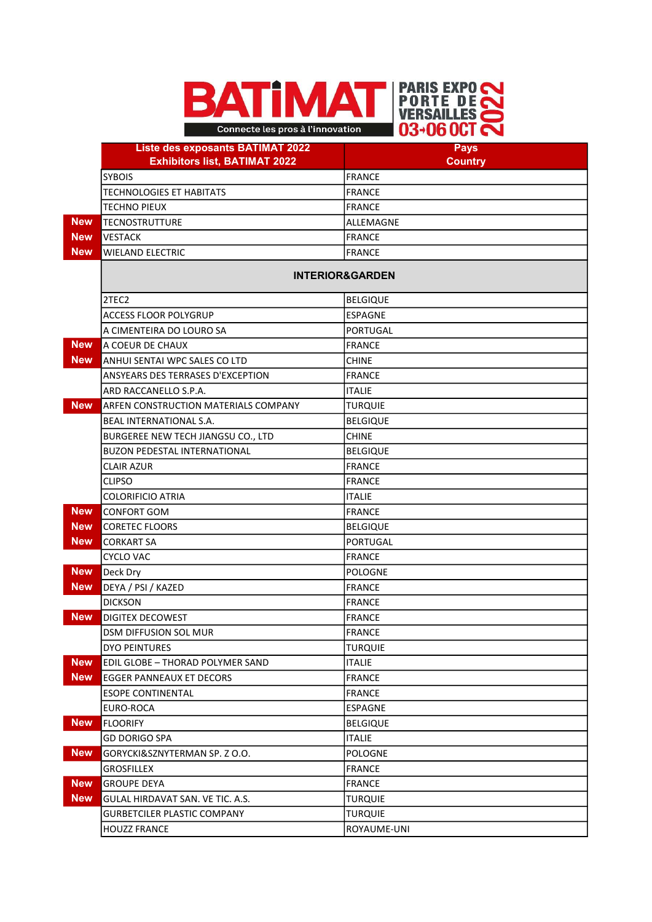

|            | <b>Liste des exposants BATIMAT 2022</b> | <b>Pays</b>     |
|------------|-----------------------------------------|-----------------|
|            | <b>Exhibitors list, BATIMAT 2022</b>    | <b>Country</b>  |
|            | <b>SYBOIS</b>                           | <b>FRANCE</b>   |
|            | TECHNOLOGIES ET HABITATS                | <b>FRANCE</b>   |
|            | <b>TECHNO PIEUX</b>                     | <b>FRANCE</b>   |
| <b>New</b> | <b>TECNOSTRUTTURE</b>                   | ALLEMAGNE       |
| <b>New</b> | <b>VESTACK</b>                          | <b>FRANCE</b>   |
| <b>New</b> | <b>WIELAND ELECTRIC</b>                 | <b>FRANCE</b>   |
|            | <b>INTERIOR&amp;GARDEN</b>              |                 |
|            |                                         |                 |
|            | 2TEC2                                   | <b>BELGIQUE</b> |
|            | <b>ACCESS FLOOR POLYGRUP</b>            | <b>ESPAGNE</b>  |
|            | A CIMENTEIRA DO LOURO SA                | PORTUGAL        |
| <b>New</b> | A COEUR DE CHAUX                        | <b>FRANCE</b>   |
| <b>New</b> | ANHUI SENTAI WPC SALES CO LTD           | <b>CHINE</b>    |
|            | ANSYEARS DES TERRASES D'EXCEPTION       | <b>FRANCE</b>   |
|            | ARD RACCANELLO S.P.A.                   | <b>ITALIE</b>   |
| <b>New</b> | ARFEN CONSTRUCTION MATERIALS COMPANY    | <b>TURQUIE</b>  |
|            | BEAL INTERNATIONAL S.A.                 | <b>BELGIQUE</b> |
|            | BURGEREE NEW TECH JIANGSU CO., LTD      | <b>CHINE</b>    |
|            | <b>BUZON PEDESTAL INTERNATIONAL</b>     | <b>BELGIQUE</b> |
|            | <b>CLAIR AZUR</b>                       | <b>FRANCE</b>   |
|            | <b>CLIPSO</b>                           | <b>FRANCE</b>   |
|            | <b>COLORIFICIO ATRIA</b>                | <b>ITALIE</b>   |
| <b>New</b> | <b>CONFORT GOM</b>                      | <b>FRANCE</b>   |
| <b>New</b> | <b>CORETEC FLOORS</b>                   | <b>BELGIQUE</b> |
| <b>New</b> | <b>CORKART SA</b>                       | <b>PORTUGAL</b> |
|            | <b>CYCLO VAC</b>                        | <b>FRANCE</b>   |
| <b>New</b> | Deck Dry                                | <b>POLOGNE</b>  |
| <b>New</b> | DEYA / PSI / KAZED                      | <b>FRANCE</b>   |
|            | <b>DICKSON</b>                          | <b>FRANCE</b>   |
| <b>New</b> | <b>DIGITEX DECOWEST</b>                 | <b>FRANCE</b>   |
|            | DSM DIFFUSION SOL MUR                   | <b>FRANCE</b>   |
|            | DYO PEINTURES                           | <b>TURQUIE</b>  |
| <b>New</b> | EDIL GLOBE - THORAD POLYMER SAND        | <b>ITALIE</b>   |
| <b>New</b> | EGGER PANNEAUX ET DECORS                | <b>FRANCE</b>   |
|            | <b>ESOPE CONTINENTAL</b>                | <b>FRANCE</b>   |
|            | EURO-ROCA                               | ESPAGNE         |
| <b>New</b> | <b>FLOORIFY</b>                         | <b>BELGIQUE</b> |
|            | <b>GD DORIGO SPA</b>                    | <b>ITALIE</b>   |
| <b>New</b> | GORYCKI&SZNYTERMAN SP. Z O.O.           | <b>POLOGNE</b>  |
|            | <b>GROSFILLEX</b>                       | <b>FRANCE</b>   |
| <b>New</b> | <b>GROUPE DEYA</b>                      | <b>FRANCE</b>   |
| <b>New</b> | GULAL HIRDAVAT SAN. VE TIC. A.S.        | <b>TURQUIE</b>  |
|            | <b>GURBETCILER PLASTIC COMPANY</b>      | <b>TURQUIE</b>  |
|            | <b>HOUZZ FRANCE</b>                     | ROYAUME-UNI     |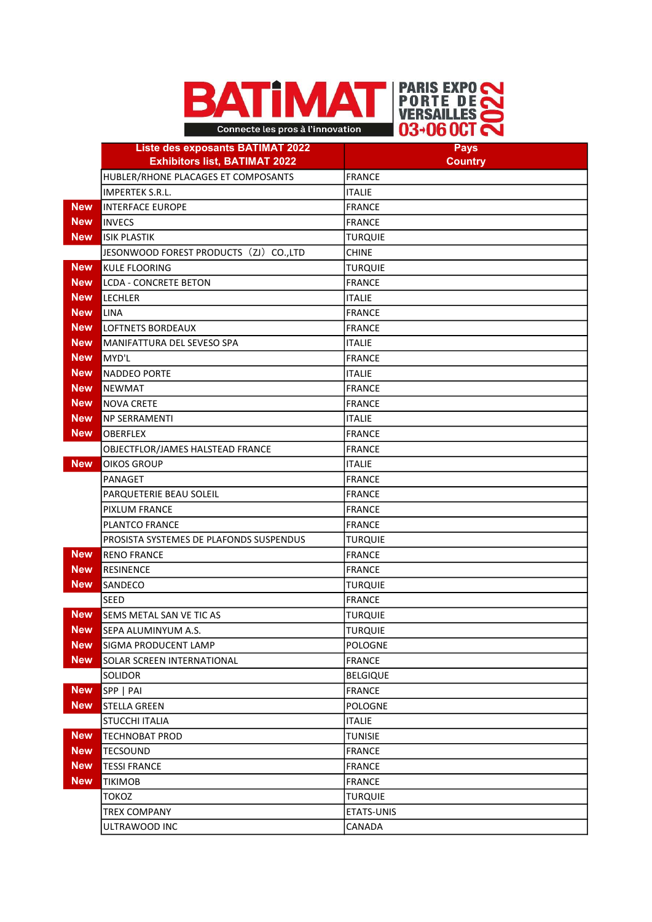



|            | <b>Liste des exposants BATIMAT 2022</b><br><b>Exhibitors list, BATIMAT 2022</b> | <b>Pays</b><br><b>Country</b> |
|------------|---------------------------------------------------------------------------------|-------------------------------|
|            | HUBLER/RHONE PLACAGES ET COMPOSANTS                                             | <b>FRANCE</b>                 |
|            | <b>IMPERTEK S.R.L.</b>                                                          | <b>ITALIE</b>                 |
| <b>New</b> | <b>INTERFACE EUROPE</b>                                                         | <b>FRANCE</b>                 |
| <b>New</b> | <b>INVECS</b>                                                                   | <b>FRANCE</b>                 |
| <b>New</b> | <b>ISIK PLASTIK</b>                                                             | <b>TURQUIE</b>                |
|            | JESONWOOD FOREST PRODUCTS (ZJ) CO.,LTD                                          | <b>CHINE</b>                  |
| <b>New</b> | <b>KULE FLOORING</b>                                                            | <b>TURQUIE</b>                |
| <b>New</b> | <b>LCDA - CONCRETE BETON</b>                                                    | <b>FRANCE</b>                 |
| <b>New</b> | <b>LECHLER</b>                                                                  | <b>ITALIE</b>                 |
| <b>New</b> | <b>LINA</b>                                                                     | <b>FRANCE</b>                 |
| <b>New</b> | <b>LOFTNETS BORDEAUX</b>                                                        | <b>FRANCE</b>                 |
| <b>New</b> | MANIFATTURA DEL SEVESO SPA                                                      | <b>ITALIE</b>                 |
| <b>New</b> | MYD'L                                                                           | <b>FRANCE</b>                 |
| <b>New</b> | <b>NADDEO PORTE</b>                                                             | <b>ITALIE</b>                 |
| <b>New</b> | <b>NEWMAT</b>                                                                   | <b>FRANCE</b>                 |
| <b>New</b> | <b>NOVA CRETE</b>                                                               | <b>FRANCE</b>                 |
| <b>New</b> | <b>NP SERRAMENTI</b>                                                            | <b>ITALIE</b>                 |
| <b>New</b> | <b>OBERFLEX</b>                                                                 | <b>FRANCE</b>                 |
|            | OBJECTFLOR/JAMES HALSTEAD FRANCE                                                | <b>FRANCE</b>                 |
| <b>New</b> | <b>OIKOS GROUP</b>                                                              | <b>ITALIE</b>                 |
|            | PANAGET                                                                         | <b>FRANCE</b>                 |
|            | PARQUETERIE BEAU SOLEIL                                                         | <b>FRANCE</b>                 |
|            | PIXLUM FRANCE                                                                   | <b>FRANCE</b>                 |
|            | PLANTCO FRANCE                                                                  | <b>FRANCE</b>                 |
|            | PROSISTA SYSTEMES DE PLAFONDS SUSPENDUS                                         | <b>TURQUIE</b>                |
| <b>New</b> | <b>RENO FRANCE</b>                                                              | <b>FRANCE</b>                 |
| <b>New</b> | <b>RESINENCE</b>                                                                | <b>FRANCE</b>                 |
| <b>New</b> | SANDECO                                                                         | <b>TURQUIE</b>                |
|            | <b>SEED</b>                                                                     | <b>FRANCE</b>                 |
| <b>New</b> | SEMS METAL SAN VE TIC AS                                                        | <b>TURQUIE</b>                |
| <b>New</b> | SEPA ALUMINYUM A.S.                                                             | <b>TURQUIE</b>                |
| <b>New</b> | SIGMA PRODUCENT LAMP                                                            | <b>POLOGNE</b>                |
| <b>New</b> | SOLAR SCREEN INTERNATIONAL                                                      | <b>FRANCE</b>                 |
|            | <b>SOLIDOR</b>                                                                  | <b>BELGIQUE</b>               |
| <b>New</b> | SPP   PAI                                                                       | <b>FRANCE</b>                 |
| <b>New</b> | <b>STELLA GREEN</b>                                                             | <b>POLOGNE</b>                |
|            | <b>STUCCHI ITALIA</b>                                                           | <b>ITALIE</b>                 |
| <b>New</b> | <b>TECHNOBAT PROD</b>                                                           | TUNISIE                       |
| <b>New</b> | <b>TECSOUND</b>                                                                 | <b>FRANCE</b>                 |
| <b>New</b> | <b>TESSI FRANCE</b>                                                             | <b>FRANCE</b>                 |
| <b>New</b> | <b>TIKIMOB</b>                                                                  | <b>FRANCE</b>                 |
|            | TOKOZ                                                                           | <b>TURQUIE</b>                |
|            | <b>TREX COMPANY</b>                                                             | ETATS-UNIS                    |
|            | ULTRAWOOD INC                                                                   | CANADA                        |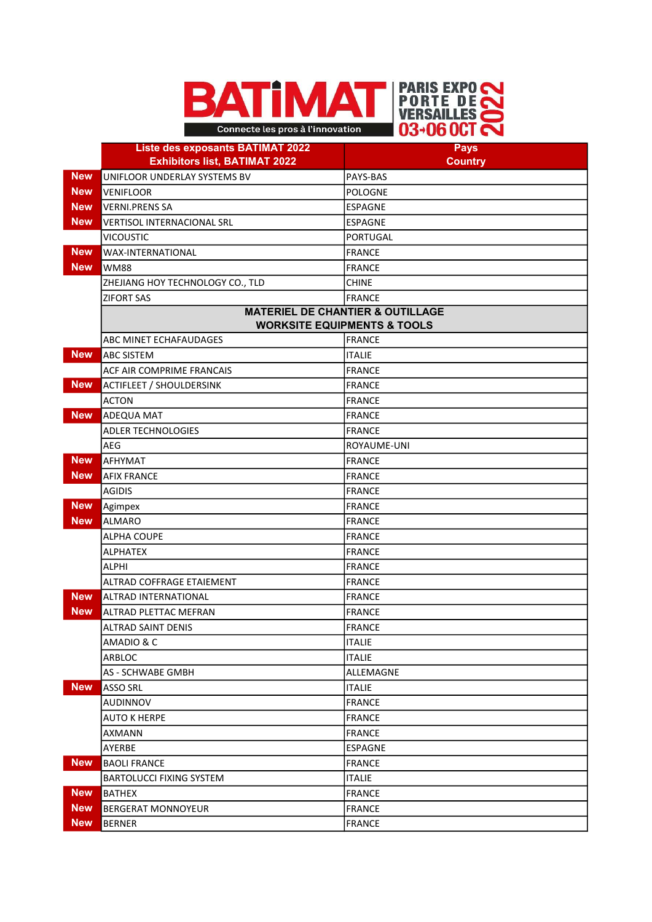

|            | <b>Liste des exposants BATIMAT 2022</b><br><b>Exhibitors list, BATIMAT 2022</b> | <b>Pays</b><br><b>Country</b>               |
|------------|---------------------------------------------------------------------------------|---------------------------------------------|
| <b>New</b> | UNIFLOOR UNDERLAY SYSTEMS BV                                                    | PAYS-BAS                                    |
| <b>New</b> | <b>VENIFLOOR</b>                                                                | <b>POLOGNE</b>                              |
| <b>New</b> | <b>VERNI.PRENS SA</b>                                                           | <b>ESPAGNE</b>                              |
| New        | <b>VERTISOL INTERNACIONAL SRL</b>                                               | <b>ESPAGNE</b>                              |
|            | <b>VICOUSTIC</b>                                                                | <b>PORTUGAL</b>                             |
| <b>New</b> | WAX-INTERNATIONAL                                                               | <b>FRANCE</b>                               |
| <b>New</b> | <b>WM88</b>                                                                     | <b>FRANCE</b>                               |
|            | ZHEJIANG HOY TECHNOLOGY CO., TLD                                                | <b>CHINE</b>                                |
|            | <b>ZIFORT SAS</b>                                                               | FRANCE                                      |
|            |                                                                                 | <b>MATERIEL DE CHANTIER &amp; OUTILLAGE</b> |
|            |                                                                                 | <b>WORKSITE EQUIPMENTS &amp; TOOLS</b>      |
|            | ABC MINET ECHAFAUDAGES                                                          | <b>FRANCE</b>                               |
| <b>New</b> | <b>ABC SISTEM</b>                                                               | <b>ITALIE</b>                               |
|            | <b>ACF AIR COMPRIME FRANCAIS</b>                                                | FRANCE                                      |
| <b>New</b> | <b>ACTIFLEET / SHOULDERSINK</b>                                                 | <b>FRANCE</b>                               |
|            | <b>ACTON</b>                                                                    | <b>FRANCE</b>                               |
| <b>New</b> | <b>ADEQUA MAT</b>                                                               | <b>FRANCE</b>                               |
|            | <b>ADLER TECHNOLOGIES</b>                                                       | FRANCE                                      |
|            | AEG                                                                             | ROYAUME-UNI                                 |
| <b>New</b> | <b>AFHYMAT</b>                                                                  | <b>FRANCE</b>                               |
| <b>New</b> | <b>AFIX FRANCE</b>                                                              | <b>FRANCE</b>                               |
|            | <b>AGIDIS</b>                                                                   | <b>FRANCE</b>                               |
| <b>New</b> | Agimpex                                                                         | <b>FRANCE</b>                               |
| <b>New</b> | <b>ALMARO</b>                                                                   | <b>FRANCE</b>                               |
|            | <b>ALPHA COUPE</b>                                                              | <b>FRANCE</b>                               |
|            | <b>ALPHATEX</b>                                                                 | <b>FRANCE</b>                               |
|            | <b>ALPHI</b>                                                                    | <b>FRANCE</b>                               |
|            | ALTRAD COFFRAGE ETAIEMENT                                                       | <b>FRANCE</b>                               |
| <b>New</b> | <b>ALTRAD INTERNATIONAL</b>                                                     | <b>FRANCE</b>                               |
| <b>New</b> | ALTRAD PLETTAC MEFRAN                                                           | <b>FRANCE</b>                               |
|            | <b>ALTRAD SAINT DENIS</b>                                                       | <b>FRANCE</b>                               |
|            | AMADIO & C                                                                      | <b>ITALIE</b>                               |
|            | ARBLOC                                                                          | <b>ITALIE</b>                               |
|            | AS - SCHWABE GMBH                                                               | ALLEMAGNE                                   |
| <b>New</b> | <b>ASSO SRL</b>                                                                 | <b>ITALIE</b>                               |
|            | AUDINNOV                                                                        | <b>FRANCE</b>                               |
|            | <b>AUTO K HERPE</b>                                                             | <b>FRANCE</b>                               |
|            | AXMANN                                                                          | <b>FRANCE</b>                               |
|            | AYERBE                                                                          | <b>ESPAGNE</b>                              |
| <b>New</b> | <b>BAOLI FRANCE</b>                                                             | <b>FRANCE</b>                               |
|            | <b>BARTOLUCCI FIXING SYSTEM</b>                                                 | <b>ITALIE</b>                               |
| <b>New</b> | <b>BATHEX</b>                                                                   | FRANCE                                      |
| <b>New</b> | <b>BERGERAT MONNOYEUR</b>                                                       | <b>FRANCE</b>                               |
| <b>New</b> | <b>BERNER</b>                                                                   | FRANCE                                      |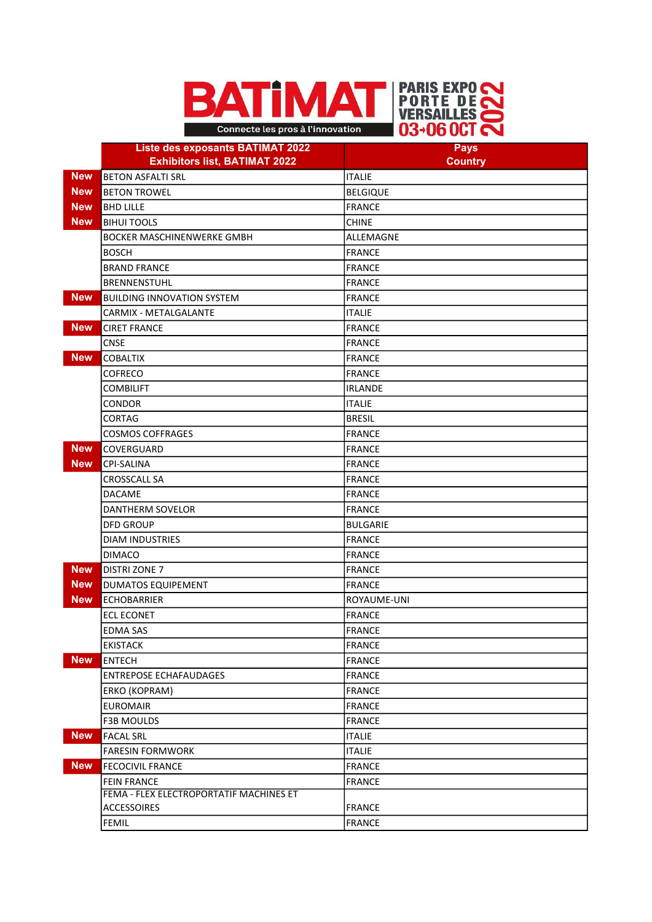



|            | <b>Liste des exposants BATIMAT 2022</b> | <b>Pays</b>        |
|------------|-----------------------------------------|--------------------|
|            | <b>Exhibitors list, BATIMAT 2022</b>    | <b>Country</b>     |
| <b>New</b> | <b>BETON ASFALTI SRL</b>                | <b>ITALIE</b>      |
| <b>New</b> | <b>BETON TROWEL</b>                     | <b>BELGIQUE</b>    |
| <b>New</b> | <b>BHD LILLE</b>                        | <b>FRANCE</b>      |
| <b>New</b> | <b>BIHUI TOOLS</b>                      | <b>CHINE</b>       |
|            | <b>BOCKER MASCHINENWERKE GMBH</b>       | ALLEMAGNE          |
|            | <b>BOSCH</b>                            | <b>FRANCE</b>      |
|            | <b>BRAND FRANCE</b>                     | FRANCE             |
|            | <b>BRENNENSTUHL</b>                     | <b>FRANCE</b>      |
| <b>New</b> | <b>BUILDING INNOVATION SYSTEM</b>       | FRANCE             |
|            | CARMIX - METALGALANTE                   | <b>ITALIE</b>      |
| <b>New</b> | <b>CIRET FRANCE</b>                     | FRANCE             |
|            | <b>CNSE</b>                             | FRANCE             |
| <b>New</b> | <b>COBALTIX</b>                         | FRANCE             |
|            | COFRECO                                 | <b>FRANCE</b>      |
|            | <b>COMBILIFT</b>                        | <b>IRLANDE</b>     |
|            | <b>CONDOR</b>                           | <b>ITALIE</b>      |
|            | <b>CORTAG</b>                           | <b>BRESIL</b>      |
|            | <b>COSMOS COFFRAGES</b>                 | FRANCE             |
| <b>New</b> | COVERGUARD                              | FRANCE             |
| <b>New</b> | <b>CPI-SALINA</b>                       | <b>FRANCE</b>      |
|            | <b>CROSSCALL SA</b>                     | FRANCE             |
|            | <b>DACAME</b>                           | FRANCE             |
|            | DANTHERM SOVELOR                        | FRANCE             |
|            | <b>DFD GROUP</b>                        | <b>BULGARIE</b>    |
|            | <b>DIAM INDUSTRIES</b>                  | FRANCE             |
|            | <b>DIMACO</b>                           | FRANCE             |
| <b>New</b> | <b>DISTRI ZONE 7</b>                    | <b>FRANCE</b>      |
| <b>New</b> | <b>DUMATOS EQUIPEMENT</b>               | <b>FRANCE</b>      |
| <b>New</b> | ECHOBARRIER                             | <b>ROYAUME-UNI</b> |
|            | <b>ECL ECONET</b>                       | <b>FRANCE</b>      |
|            | <b>EDMA SAS</b>                         | <b>FRANCE</b>      |
|            | <b>EKISTACK</b>                         | <b>FRANCE</b>      |
| <b>New</b> | <b>ENTECH</b>                           | <b>FRANCE</b>      |
|            | <b>ENTREPOSE ECHAFAUDAGES</b>           | FRANCE             |
|            | ERKO (KOPRAM)                           | FRANCE             |
|            | <b>EUROMAIR</b>                         | <b>FRANCE</b>      |
|            | <b>F3B MOULDS</b>                       | FRANCE             |
| New        | <b>FACAL SRL</b>                        | <b>ITALIE</b>      |
|            | <b>FARESIN FORMWORK</b>                 | <b>ITALIE</b>      |
| <b>New</b> | <b>FECOCIVIL FRANCE</b>                 | <b>FRANCE</b>      |
|            | <b>FEIN FRANCE</b>                      | <b>FRANCE</b>      |
|            | FEMA - FLEX ELECTROPORTATIF MACHINES ET |                    |
|            | <b>ACCESSOIRES</b>                      | <b>FRANCE</b>      |
|            | <b>FEMIL</b>                            | <b>FRANCE</b>      |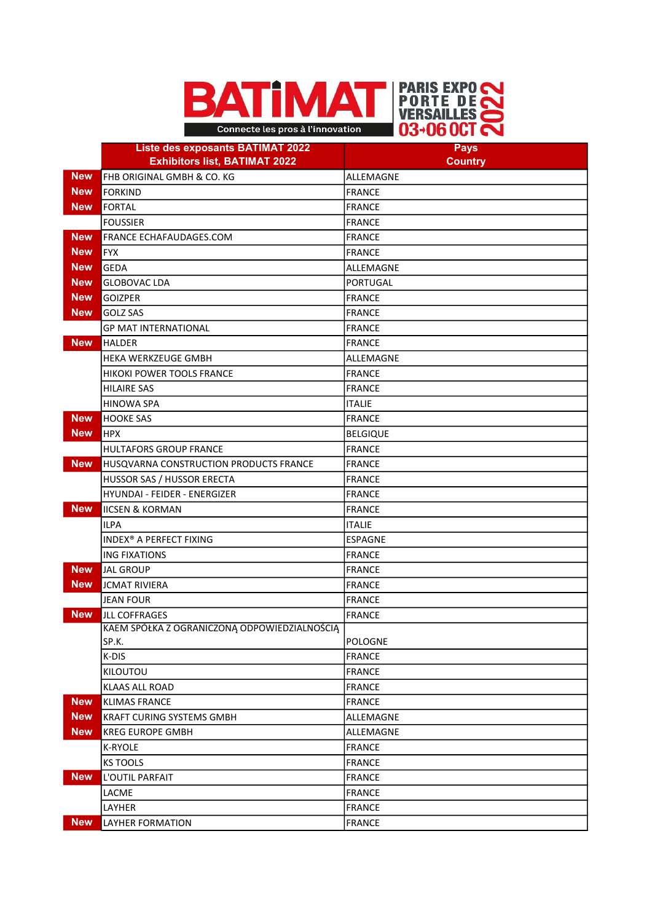



|            | <b>Liste des exposants BATIMAT 2022</b><br><b>Exhibitors list, BATIMAT 2022</b> | Pays<br><b>Country</b> |
|------------|---------------------------------------------------------------------------------|------------------------|
| <b>New</b> | FHB ORIGINAL GMBH & CO. KG                                                      | ALLEMAGNE              |
| <b>New</b> | <b>FORKIND</b>                                                                  | <b>FRANCE</b>          |
| <b>New</b> | <b>FORTAL</b>                                                                   | FRANCE                 |
|            | <b>FOUSSIER</b>                                                                 | FRANCE                 |
| <b>New</b> | FRANCE ECHAFAUDAGES.COM                                                         | <b>FRANCE</b>          |
| <b>New</b> | <b>FYX</b>                                                                      | FRANCE                 |
| <b>New</b> | <b>GEDA</b>                                                                     | ALLEMAGNE              |
| <b>New</b> | <b>GLOBOVAC LDA</b>                                                             | PORTUGAL               |
| <b>New</b> | <b>GOIZPER</b>                                                                  | FRANCE                 |
| <b>New</b> | <b>GOLZ SAS</b>                                                                 | FRANCE                 |
|            | <b>GP MAT INTERNATIONAL</b>                                                     | FRANCE                 |
| <b>New</b> | <b>HALDER</b>                                                                   | FRANCE                 |
|            | HEKA WERKZEUGE GMBH                                                             | ALLEMAGNE              |
|            | <b>HIKOKI POWER TOOLS FRANCE</b>                                                | FRANCE                 |
|            | <b>HILAIRE SAS</b>                                                              | <b>FRANCE</b>          |
|            | <b>HINOWA SPA</b>                                                               | <b>ITALIE</b>          |
| <b>New</b> | <b>HOOKE SAS</b>                                                                | FRANCE                 |
| <b>New</b> | <b>HPX</b>                                                                      | <b>BELGIQUE</b>        |
|            | <b>HULTAFORS GROUP FRANCE</b>                                                   | <b>FRANCE</b>          |
| <b>New</b> | HUSQVARNA CONSTRUCTION PRODUCTS FRANCE                                          | FRANCE                 |
|            | HUSSOR SAS / HUSSOR ERECTA                                                      | FRANCE                 |
|            | HYUNDAI - FEIDER - ENERGIZER                                                    | FRANCE                 |
| <b>New</b> | <b>IICSEN &amp; KORMAN</b>                                                      | FRANCE                 |
|            | <b>ILPA</b>                                                                     | <b>ITALIE</b>          |
|            | INDEX® A PERFECT FIXING                                                         | <b>ESPAGNE</b>         |
|            | <b>ING FIXATIONS</b>                                                            | <b>FRANCE</b>          |
| <b>New</b> | <b>JAL GROUP</b>                                                                | FRANCE                 |
| <b>New</b> | <b>JCMAT RIVIERA</b>                                                            | <b>FRANCE</b>          |
|            | <b>JEAN FOUR</b>                                                                | FRANCE                 |
| <b>New</b> | JLL COFFRAGES                                                                   | FRANCE                 |
|            | KAEM SPÓŁKA Z OGRANICZONĄ ODPOWIEDZIALNOŚCIĄ                                    |                        |
|            | SP.K.                                                                           | POLOGNE                |
|            | K-DIS                                                                           | FRANCE                 |
|            | <b>KILOUTOU</b>                                                                 | FRANCE                 |
|            | <b>KLAAS ALL ROAD</b>                                                           | FRANCE                 |
| <b>New</b> | <b>KLIMAS FRANCE</b>                                                            | <b>FRANCE</b>          |
| <b>New</b> | <b>KRAFT CURING SYSTEMS GMBH</b>                                                | ALLEMAGNE              |
| <b>New</b> | <b>KREG EUROPE GMBH</b>                                                         | ALLEMAGNE              |
|            | K-RYOLE                                                                         | FRANCE                 |
|            | <b>KS TOOLS</b>                                                                 | FRANCE                 |
| <b>New</b> | L'OUTIL PARFAIT                                                                 | FRANCE                 |
|            | LACME                                                                           | FRANCE                 |
|            | LAYHER                                                                          | FRANCE                 |
| <b>New</b> | LAYHER FORMATION                                                                | FRANCE                 |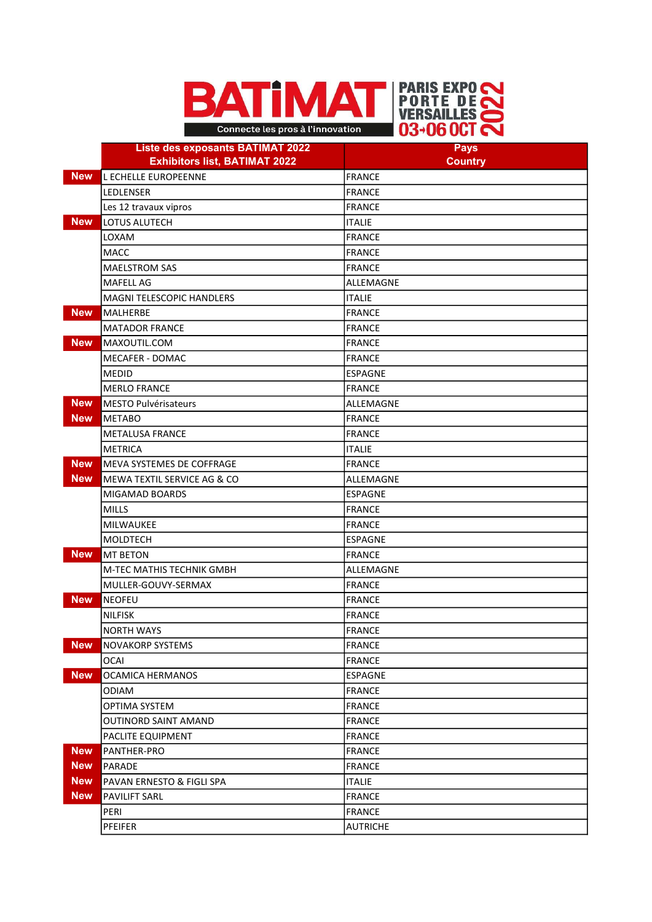



|            | <b>Liste des exposants BATIMAT 2022</b><br><b>Exhibitors list, BATIMAT 2022</b> | Pays<br><b>Country</b> |
|------------|---------------------------------------------------------------------------------|------------------------|
| <b>New</b> | <b>L ECHELLE EUROPEENNE</b>                                                     | <b>FRANCE</b>          |
|            | <b>LEDLENSER</b>                                                                | <b>FRANCE</b>          |
|            | Les 12 travaux vipros                                                           | <b>FRANCE</b>          |
| <b>New</b> | LOTUS ALUTECH                                                                   | <b>ITALIE</b>          |
|            | LOXAM                                                                           | <b>FRANCE</b>          |
|            | <b>MACC</b>                                                                     | FRANCE                 |
|            | <b>MAELSTROM SAS</b>                                                            | <b>FRANCE</b>          |
|            | MAFELL AG                                                                       | ALLEMAGNE              |
|            | MAGNI TELESCOPIC HANDLERS                                                       | <b>ITALIE</b>          |
| <b>New</b> | <b>MALHERBE</b>                                                                 | <b>FRANCE</b>          |
|            | <b>MATADOR FRANCE</b>                                                           | <b>FRANCE</b>          |
| <b>New</b> | MAXOUTIL.COM                                                                    | <b>FRANCE</b>          |
|            | <b>MECAFER - DOMAC</b>                                                          | <b>FRANCE</b>          |
|            | <b>MEDID</b>                                                                    | <b>ESPAGNE</b>         |
|            | <b>MERLO FRANCE</b>                                                             | <b>FRANCE</b>          |
| New        | <b>MESTO Pulvérisateurs</b>                                                     | ALLEMAGNE              |
| <b>New</b> | <b>METABO</b>                                                                   | FRANCE                 |
|            | <b>METALUSA FRANCE</b>                                                          | <b>FRANCE</b>          |
|            | <b>METRICA</b>                                                                  | <b>ITALIE</b>          |
| <b>New</b> | MEVA SYSTEMES DE COFFRAGE                                                       | <b>FRANCE</b>          |
| <b>New</b> | MEWA TEXTIL SERVICE AG & CO                                                     | ALLEMAGNE              |
|            | MIGAMAD BOARDS                                                                  | <b>ESPAGNE</b>         |
|            | <b>MILLS</b>                                                                    | <b>FRANCE</b>          |
|            | MILWAUKEE                                                                       | FRANCE                 |
|            | <b>MOLDTECH</b>                                                                 | <b>ESPAGNE</b>         |
| <b>New</b> | <b>MT BETON</b>                                                                 | FRANCE                 |
|            | M-TEC MATHIS TECHNIK GMBH                                                       | ALLEMAGNE              |
|            | MULLER-GOUVY-SERMAX                                                             | <b>FRANCE</b>          |
| <b>New</b> | <b>NEOFEU</b>                                                                   | FRANCE                 |
|            | NILFISK                                                                         | <b>FRANCE</b>          |
|            | <b>NORTH WAYS</b>                                                               | FRANCE                 |
| New        | <b>NOVAKORP SYSTEMS</b>                                                         | <b>FRANCE</b>          |
|            | <b>OCAI</b>                                                                     | FRANCE                 |
| <b>New</b> | <b>OCAMICA HERMANOS</b>                                                         | <b>ESPAGNE</b>         |
|            | <b>ODIAM</b>                                                                    | <b>FRANCE</b>          |
|            | <b>OPTIMA SYSTEM</b>                                                            | FRANCE                 |
|            | OUTINORD SAINT AMAND                                                            | FRANCE                 |
|            | PACLITE EQUIPMENT                                                               | FRANCE                 |
| <b>New</b> | PANTHER-PRO                                                                     | FRANCE                 |
| <b>New</b> | <b>PARADE</b>                                                                   | FRANCE                 |
| <b>New</b> | PAVAN ERNESTO & FIGLI SPA                                                       | <b>ITALIE</b>          |
| <b>New</b> | PAVILIFT SARL                                                                   | FRANCE                 |
|            | PERI                                                                            | FRANCE                 |
|            | PFEIFER                                                                         | <b>AUTRICHE</b>        |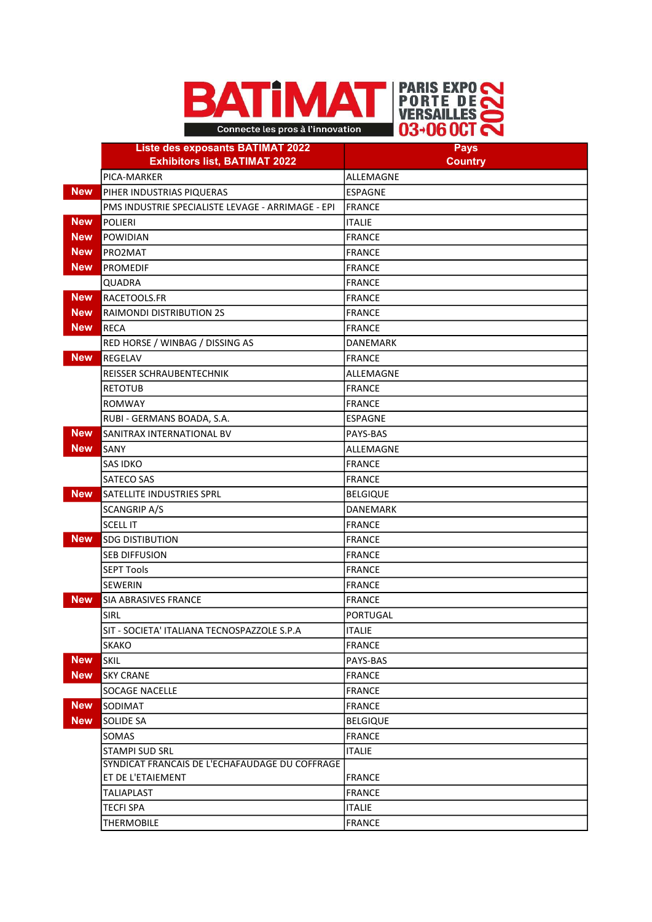

|            | <b>Liste des exposants BATIMAT 2022</b><br><b>Exhibitors list, BATIMAT 2022</b> | <b>Pays</b><br><b>Country</b> |
|------------|---------------------------------------------------------------------------------|-------------------------------|
|            | PICA-MARKER                                                                     | ALLEMAGNE                     |
| <b>New</b> | PIHER INDUSTRIAS PIQUERAS                                                       | <b>ESPAGNE</b>                |
|            | PMS INDUSTRIE SPECIALISTE LEVAGE - ARRIMAGE - EPI                               | <b>IFRANCE</b>                |
| <b>New</b> | <b>POLIERI</b>                                                                  | <b>ITALIE</b>                 |
| <b>New</b> | <b>POWIDIAN</b>                                                                 | FRANCE                        |
| <b>New</b> | PRO2MAT                                                                         | <b>FRANCE</b>                 |
| <b>New</b> | <b>PROMEDIF</b>                                                                 | FRANCE                        |
|            | QUADRA                                                                          | FRANCE                        |
| New        | RACETOOLS.FR                                                                    | FRANCE                        |
| <b>New</b> | <b>RAIMONDI DISTRIBUTION 2S</b>                                                 | FRANCE                        |
| <b>New</b> | <b>RECA</b>                                                                     | <b>FRANCE</b>                 |
|            | RED HORSE / WINBAG / DISSING AS                                                 | DANEMARK                      |
| <b>New</b> | <b>REGELAV</b>                                                                  | FRANCE                        |
|            | REISSER SCHRAUBENTECHNIK                                                        | ALLEMAGNE                     |
|            | <b>RETOTUB</b>                                                                  | FRANCE                        |
|            | <b>ROMWAY</b>                                                                   | FRANCE                        |
|            | RUBI - GERMANS BOADA, S.A.                                                      | <b>ESPAGNE</b>                |
| New        | SANITRAX INTERNATIONAL BV                                                       | PAYS-BAS                      |
| <b>New</b> | SANY                                                                            | ALLEMAGNE                     |
|            | <b>SAS IDKO</b>                                                                 | FRANCE                        |
|            | <b>SATECO SAS</b>                                                               | FRANCE                        |
| <b>New</b> | SATELLITE INDUSTRIES SPRL                                                       | <b>BELGIQUE</b>               |
|            | <b>SCANGRIP A/S</b>                                                             | DANEMARK                      |
|            | <b>SCELL IT</b>                                                                 | <b>FRANCE</b>                 |
| <b>New</b> | <b>SDG DISTIBUTION</b>                                                          | FRANCE                        |
|            | <b>SEB DIFFUSION</b>                                                            | FRANCE                        |
|            | <b>SEPT Tools</b>                                                               | FRANCE                        |
|            | <b>SEWERIN</b>                                                                  | FRANCE                        |
| New        | SIA ABRASIVES FRANCE                                                            | FRANCE                        |
|            | SIRL                                                                            | PORTUGAL                      |
|            | SIT - SOCIETA' ITALIANA TECNOSPAZZOLE S.P.A                                     | <b>ITALIE</b>                 |
|            | <b>SKAKO</b>                                                                    | FRANCE                        |
| <b>New</b> | <b>SKIL</b>                                                                     | PAYS-BAS                      |
| <b>New</b> | <b>SKY CRANE</b>                                                                | FRANCE                        |
|            | SOCAGE NACELLE                                                                  | FRANCE                        |
| <b>New</b> | SODIMAT                                                                         | FRANCE                        |
| <b>New</b> | <b>SOLIDE SA</b>                                                                | <b>BELGIQUE</b>               |
|            | SOMAS                                                                           | FRANCE                        |
|            | <b>STAMPI SUD SRL</b>                                                           | <b>ITALIE</b>                 |
|            | SYNDICAT FRANCAIS DE L'ECHAFAUDAGE DU COFFRAGE                                  |                               |
|            | ET DE L'ETAIEMENT                                                               | FRANCE                        |
|            | <b>TALIAPLAST</b>                                                               | FRANCE                        |
|            | <b>TECFI SPA</b>                                                                | <b>ITALIE</b>                 |
|            | <b>THERMOBILE</b>                                                               | <b>FRANCE</b>                 |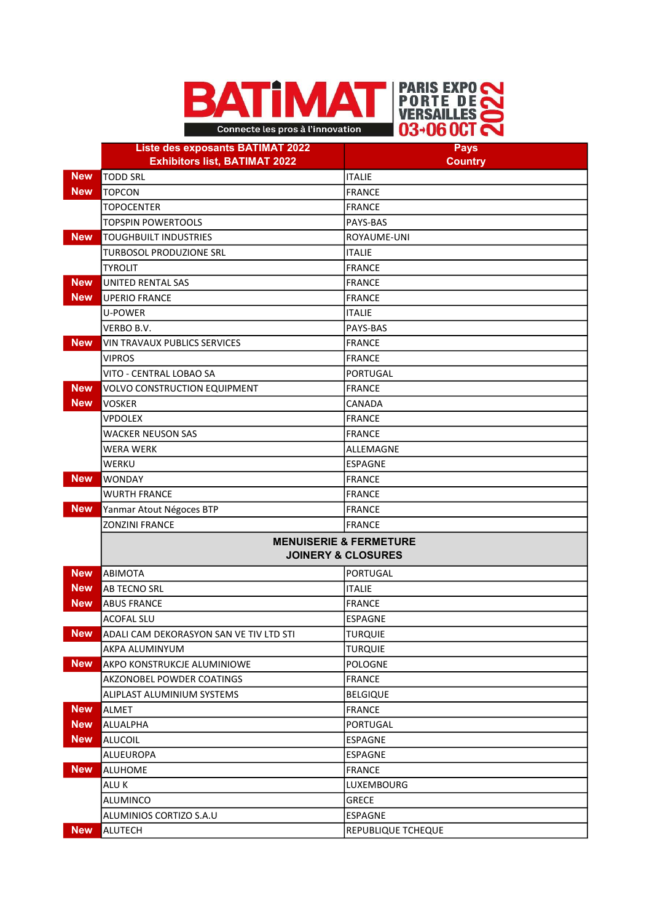



|            | <b>Liste des exposants BATIMAT 2022</b>                 | <b>Pays</b>                       |
|------------|---------------------------------------------------------|-----------------------------------|
| <b>New</b> | <b>Exhibitors list, BATIMAT 2022</b><br><b>TODD SRL</b> | <b>Country</b><br><b>ITALIE</b>   |
| <b>New</b> | <b>TOPCON</b>                                           | <b>FRANCE</b>                     |
|            | <b>TOPOCENTER</b>                                       | FRANCE                            |
|            |                                                         |                                   |
| <b>New</b> | <b>TOPSPIN POWERTOOLS</b>                               | PAYS-BAS                          |
|            | <b>TOUGHBUILT INDUSTRIES</b>                            | ROYAUME-UNI<br><b>ITALIE</b>      |
|            | TURBOSOL PRODUZIONE SRL<br><b>TYROLIT</b>               | FRANCE                            |
| New        | <b>UNITED RENTAL SAS</b>                                | FRANCE                            |
| <b>New</b> | <b>UPERIO FRANCE</b>                                    | FRANCE                            |
|            | <b>U-POWER</b>                                          | <b>ITALIE</b>                     |
|            |                                                         |                                   |
| <b>New</b> | VERBO B.V.<br><b>VIN TRAVAUX PUBLICS SERVICES</b>       | PAYS-BAS<br><b>FRANCE</b>         |
|            | <b>VIPROS</b>                                           | FRANCE                            |
|            | VITO - CENTRAL LOBAO SA                                 | PORTUGAL                          |
| <b>New</b> | <b>VOLVO CONSTRUCTION EQUIPMENT</b>                     | <b>FRANCE</b>                     |
| <b>New</b> | <b>VOSKER</b>                                           | <b>CANADA</b>                     |
|            | <b>VPDOLEX</b>                                          | <b>FRANCE</b>                     |
|            | <b>WACKER NEUSON SAS</b>                                | FRANCE                            |
|            | <b>WERA WERK</b>                                        | ALLEMAGNE                         |
|            | WERKU                                                   | <b>ESPAGNE</b>                    |
| <b>New</b> | <b>WONDAY</b>                                           | <b>FRANCE</b>                     |
|            | <b>WURTH FRANCE</b>                                     | FRANCE                            |
| <b>New</b> | Yanmar Atout Négoces BTP                                | FRANCE                            |
|            | <b>ZONZINI FRANCE</b>                                   | FRANCE                            |
|            |                                                         | <b>MENUISERIE &amp; FERMETURE</b> |
|            |                                                         | <b>JOINERY &amp; CLOSURES</b>     |
| <b>New</b> | <b>ABIMOTA</b>                                          | PORTUGAL                          |
| <b>New</b> | <b>AB TECNO SRL</b>                                     | <b>ITALIE</b>                     |
| <b>New</b> | <b>ABUS FRANCE</b>                                      | FRANCE                            |
|            | <b>ACOFAL SLU</b>                                       | <b>ESPAGNE</b>                    |
| <b>New</b> | ADALI CAM DEKORASYON SAN VE TIV LTD STI                 | <b>TURQUIE</b>                    |
|            | AKPA ALUMINYUM                                          | <b>TURQUIE</b>                    |
| <b>New</b> | AKPO KONSTRUKCJE ALUMINIOWE                             | <b>POLOGNE</b>                    |
|            | AKZONOBEL POWDER COATINGS                               | FRANCE                            |
|            | <b>ALIPLAST ALUMINIUM SYSTEMS</b>                       | <b>BELGIQUE</b>                   |
| <b>New</b> | ALMET                                                   | FRANCE                            |
| <b>New</b> | <b>ALUALPHA</b>                                         | PORTUGAL                          |
| <b>New</b> | <b>ALUCOIL</b>                                          | <b>ESPAGNE</b>                    |
|            | <b>ALUEUROPA</b>                                        | <b>ESPAGNE</b>                    |
| <b>New</b> | <b>ALUHOME</b>                                          | <b>FRANCE</b>                     |
|            | ALU K                                                   | <b>LUXEMBOURG</b>                 |
|            | <b>ALUMINCO</b>                                         | <b>GRECE</b>                      |
|            | ALUMINIOS CORTIZO S.A.U                                 | <b>ESPAGNE</b>                    |
| <b>New</b> | <b>ALUTECH</b>                                          | <b>REPUBLIQUE TCHEQUE</b>         |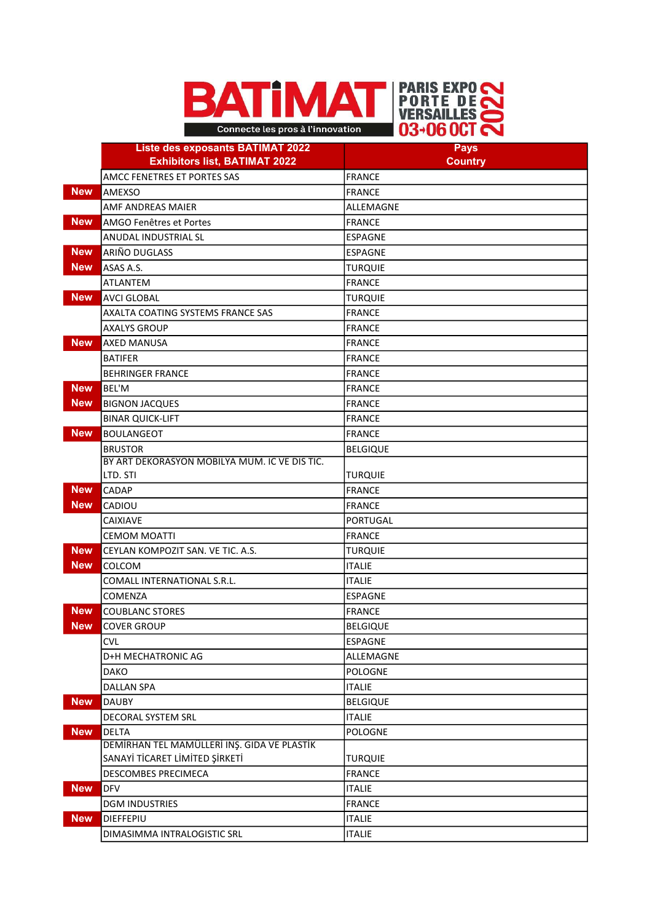



|            | <b>Liste des exposants BATIMAT 2022</b>       | <b>Pays</b>     |
|------------|-----------------------------------------------|-----------------|
|            | <b>Exhibitors list, BATIMAT 2022</b>          | <b>Country</b>  |
|            | AMCC FENETRES ET PORTES SAS                   | <b>FRANCE</b>   |
| <b>New</b> | AMEXSO                                        | <b>FRANCE</b>   |
|            | AMF ANDREAS MAIER                             | ALLEMAGNE       |
| <b>New</b> | AMGO Fenêtres et Portes                       | <b>FRANCE</b>   |
|            | ANUDAL INDUSTRIAL SL                          | <b>ESPAGNE</b>  |
| <b>New</b> | ARIÑO DUGLASS                                 | <b>ESPAGNE</b>  |
| <b>New</b> | ASAS A.S.                                     | <b>TURQUIE</b>  |
|            | ATLANTEM                                      | <b>FRANCE</b>   |
| <b>New</b> | <b>AVCI GLOBAL</b>                            | <b>TURQUIE</b>  |
|            | AXALTA COATING SYSTEMS FRANCE SAS             | <b>FRANCE</b>   |
|            | <b>AXALYS GROUP</b>                           | <b>FRANCE</b>   |
| <b>New</b> | <b>AXED MANUSA</b>                            | FRANCE          |
|            | <b>BATIFER</b>                                | <b>FRANCE</b>   |
|            | <b>BEHRINGER FRANCE</b>                       | <b>FRANCE</b>   |
| <b>New</b> | <b>BEL'M</b>                                  | FRANCE          |
| <b>New</b> | <b>BIGNON JACQUES</b>                         | <b>FRANCE</b>   |
|            | <b>BINAR QUICK-LIFT</b>                       | FRANCE          |
| <b>New</b> | <b>BOULANGEOT</b>                             | <b>FRANCE</b>   |
|            | <b>BRUSTOR</b>                                | <b>BELGIQUE</b> |
|            | BY ART DEKORASYON MOBILYA MUM. IC VE DIS TIC. |                 |
|            | LTD. STI                                      | <b>TURQUIE</b>  |
| <b>New</b> | <b>CADAP</b>                                  | <b>FRANCE</b>   |
| <b>New</b> | CADIOU                                        | <b>FRANCE</b>   |
|            | <b>CAIXIAVE</b>                               | PORTUGAL        |
|            | <b>CEMOM MOATTI</b>                           | <b>FRANCE</b>   |
| <b>New</b> | CEYLAN KOMPOZIT SAN. VE TIC. A.S.             | <b>TURQUIE</b>  |
| <b>New</b> | COLCOM                                        | <b>ITALIE</b>   |
|            | COMALL INTERNATIONAL S.R.L.                   | <b>ITALIE</b>   |
|            | <b>COMENZA</b>                                | <b>ESPAGNE</b>  |
| <b>New</b> | <b>COUBLANC STORES</b>                        | <b>FRANCE</b>   |
| <b>New</b> | <b>COVER GROUP</b>                            | <b>BELGIQUE</b> |
|            | <b>CVL</b>                                    | <b>ESPAGNE</b>  |
|            | D+H MECHATRONIC AG                            | ALLEMAGNE       |
|            | DAKO                                          | POLOGNE         |
|            | <b>DALLAN SPA</b>                             | <b>ITALIE</b>   |
| <b>New</b> | <b>DAUBY</b>                                  | <b>BELGIQUE</b> |
|            | DECORAL SYSTEM SRL                            | <b>ITALIE</b>   |
| <b>New</b> | <b>DELTA</b>                                  | POLOGNE         |
|            | DEMİRHAN TEL MAMÜLLERİ INŞ. GIDA VE PLASTİK   |                 |
|            | SANAYİ TİCARET LİMİTED ŞİRKETİ                | <b>TURQUIE</b>  |
|            | <b>DESCOMBES PRECIMECA</b>                    | FRANCE          |
| <b>New</b> | <b>DFV</b>                                    | <b>ITALIE</b>   |
|            | <b>DGM INDUSTRIES</b>                         | <b>FRANCE</b>   |
| <b>New</b> | <b>DIEFFEPIU</b>                              | <b>ITALIE</b>   |
|            | DIMASIMMA INTRALOGISTIC SRL                   | <b>ITALIE</b>   |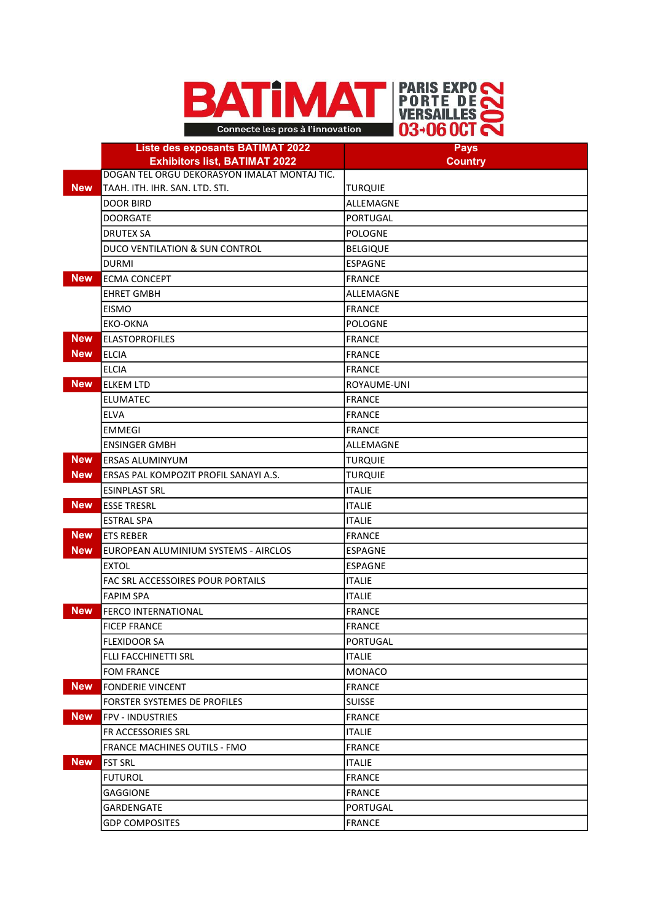

|            | <b>Liste des exposants BATIMAT 2022</b>      | <b>Pays</b>     |
|------------|----------------------------------------------|-----------------|
|            | <b>Exhibitors list, BATIMAT 2022</b>         | <b>Country</b>  |
|            | DOGAN TEL ORGU DEKORASYON IMALAT MONTAJ TIC. |                 |
| <b>New</b> | TAAH. ITH. IHR. SAN. LTD. STI.               | <b>TURQUIE</b>  |
|            | <b>DOOR BIRD</b>                             | ALLEMAGNE       |
|            | <b>DOORGATE</b>                              | <b>PORTUGAL</b> |
|            | <b>DRUTEX SA</b>                             | <b>POLOGNE</b>  |
|            | DUCO VENTILATION & SUN CONTROL               | <b>BELGIQUE</b> |
|            | <b>DURMI</b>                                 | <b>ESPAGNE</b>  |
| <b>New</b> | <b>ECMA CONCEPT</b>                          | <b>FRANCE</b>   |
|            | <b>EHRET GMBH</b>                            | ALLEMAGNE       |
|            | <b>EISMO</b>                                 | <b>FRANCE</b>   |
|            | EKO-OKNA                                     | <b>POLOGNE</b>  |
| <b>New</b> | <b>ELASTOPROFILES</b>                        | <b>FRANCE</b>   |
| <b>New</b> | <b>ELCIA</b>                                 | <b>FRANCE</b>   |
|            | <b>ELCIA</b>                                 | <b>FRANCE</b>   |
| <b>New</b> | <b>ELKEM LTD</b>                             | ROYAUME-UNI     |
|            | <b>ELUMATEC</b>                              | <b>FRANCE</b>   |
|            | <b>ELVA</b>                                  | <b>FRANCE</b>   |
|            | <b>EMMEGI</b>                                | <b>FRANCE</b>   |
|            | <b>ENSINGER GMBH</b>                         | ALLEMAGNE       |
| <b>New</b> | <b>ERSAS ALUMINYUM</b>                       | <b>TURQUIE</b>  |
| <b>New</b> | ERSAS PAL KOMPOZIT PROFIL SANAYI A.S.        | <b>TURQUIE</b>  |
|            | <b>ESINPLAST SRL</b>                         | <b>ITALIE</b>   |
| <b>New</b> | <b>ESSE TRESRL</b>                           | <b>ITALIE</b>   |
|            | <b>ESTRAL SPA</b>                            | <b>ITALIE</b>   |
| <b>New</b> | <b>ETS REBER</b>                             | <b>FRANCE</b>   |
| <b>New</b> | EUROPEAN ALUMINIUM SYSTEMS - AIRCLOS         | <b>ESPAGNE</b>  |
|            | <b>EXTOL</b>                                 | <b>ESPAGNE</b>  |
|            | <b>FAC SRL ACCESSOIRES POUR PORTAILS</b>     | <b>ITALIE</b>   |
|            | <b>FAPIM SPA</b>                             | <b>ITALIE</b>   |
| <b>New</b> | FERCO INTERNATIONAL                          | <b>FRANCE</b>   |
|            | <b>FICEP FRANCE</b>                          | <b>FRANCE</b>   |
|            | <b>FLEXIDOOR SA</b>                          | <b>PORTUGAL</b> |
|            | <b>FLLI FACCHINETTI SRL</b>                  | <b>ITALIE</b>   |
|            | <b>FOM FRANCE</b>                            | <b>MONACO</b>   |
| <b>New</b> | <b>FONDERIE VINCENT</b>                      | <b>FRANCE</b>   |
|            | FORSTER SYSTEMES DE PROFILES                 | <b>SUISSE</b>   |
| <b>New</b> | <b>FPV - INDUSTRIES</b>                      | <b>FRANCE</b>   |
|            | FR ACCESSORIES SRL                           | <b>ITALIE</b>   |
|            | <b>FRANCE MACHINES OUTILS - FMO</b>          | <b>FRANCE</b>   |
| <b>New</b> | <b>FST SRL</b>                               | <b>ITALIE</b>   |
|            | <b>FUTUROL</b>                               | <b>FRANCE</b>   |
|            | GAGGIONE                                     | <b>FRANCE</b>   |
|            | GARDENGATE                                   | PORTUGAL        |
|            | <b>GDP COMPOSITES</b>                        | <b>FRANCE</b>   |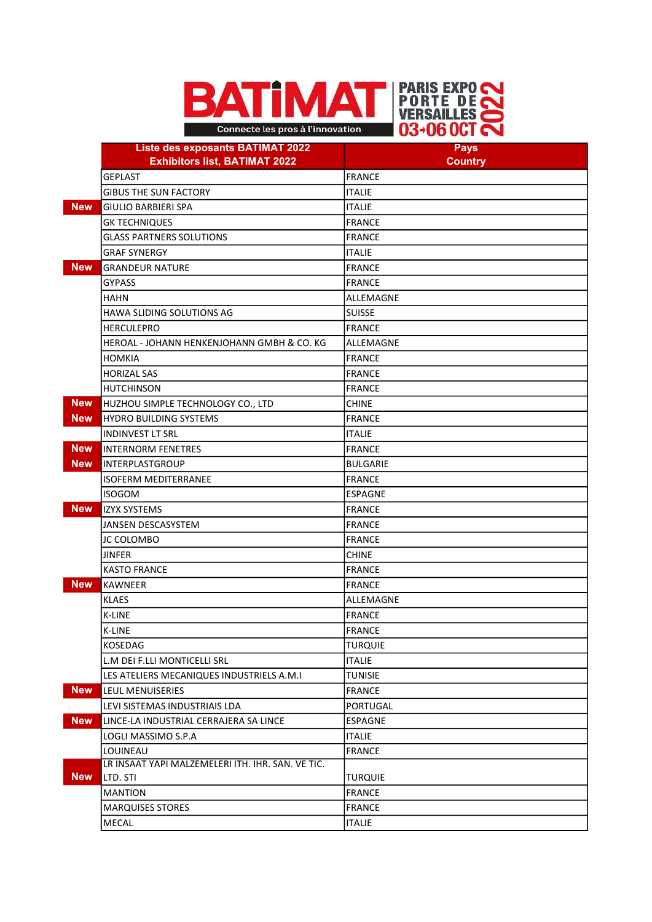



|            | <b>Liste des exposants BATIMAT 2022</b><br><b>Exhibitors list, BATIMAT 2022</b> | <b>Pays</b><br><b>Country</b> |
|------------|---------------------------------------------------------------------------------|-------------------------------|
|            | <b>GEPLAST</b>                                                                  | FRANCE                        |
|            | <b>GIBUS THE SUN FACTORY</b>                                                    | <b>ITALIE</b>                 |
| New        | GIULIO BARBIERI SPA                                                             | <b>ITALIE</b>                 |
|            | <b>GK TECHNIQUES</b>                                                            | FRANCE                        |
|            | <b>GLASS PARTNERS SOLUTIONS</b>                                                 | FRANCE                        |
|            | <b>GRAF SYNERGY</b>                                                             | <b>ITALIE</b>                 |
| <b>New</b> | <b>GRANDEUR NATURE</b>                                                          | FRANCE                        |
|            | GYPASS                                                                          | <b>FRANCE</b>                 |
|            | <b>HAHN</b>                                                                     | ALLEMAGNE                     |
|            | HAWA SLIDING SOLUTIONS AG                                                       | <b>SUISSE</b>                 |
|            | <b>HERCULEPRO</b>                                                               | FRANCE                        |
|            | HEROAL - JOHANN HENKENJOHANN GMBH & CO. KG                                      | ALLEMAGNE                     |
|            | <b>HOMKIA</b>                                                                   | FRANCE                        |
|            | <b>HORIZAL SAS</b>                                                              | FRANCE                        |
|            | <b>HUTCHINSON</b>                                                               | FRANCE                        |
| <b>New</b> | HUZHOU SIMPLE TECHNOLOGY CO., LTD                                               | <b>CHINE</b>                  |
| <b>New</b> | <b>HYDRO BUILDING SYSTEMS</b>                                                   | FRANCE                        |
|            | <b>INDINVEST LT SRL</b>                                                         | <b>ITALIE</b>                 |
| <b>New</b> | <b>INTERNORM FENETRES</b>                                                       | FRANCE                        |
| <b>New</b> | <b>INTERPLASTGROUP</b>                                                          | <b>BULGARIE</b>               |
|            | <b>ISOFERM MEDITERRANEE</b>                                                     | <b>FRANCE</b>                 |
|            | <b>ISOGOM</b>                                                                   | <b>ESPAGNE</b>                |
| <b>New</b> | <b>IZYX SYSTEMS</b>                                                             | FRANCE                        |
|            | JANSEN DESCASYSTEM                                                              | FRANCE                        |
|            | <b>JC COLOMBO</b>                                                               | FRANCE                        |
|            | JINFER                                                                          | <b>CHINE</b>                  |
|            | <b>KASTO FRANCE</b>                                                             | <b>FRANCE</b>                 |
| <b>New</b> | <b>KAWNEER</b>                                                                  | FRANCE                        |
|            | <b>KLAES</b>                                                                    | ALLEMAGNE                     |
|            | <b>K-LINE</b>                                                                   | FRANCE                        |
|            | K-LINE                                                                          | <b>FRANCE</b>                 |
|            | KOSEDAG                                                                         | <b>TURQUIE</b>                |
|            | L.M DEI F.LLI MONTICELLI SRL                                                    | <b>ITALIE</b>                 |
|            | LES ATELIERS MECANIQUES INDUSTRIELS A.M.I                                       | <b>TUNISIE</b>                |
| <b>New</b> | LEUL MENUISERIES                                                                | FRANCE                        |
|            | LEVI SISTEMAS INDUSTRIAIS LDA                                                   | <b>PORTUGAL</b>               |
| <b>New</b> | LINCE-LA INDUSTRIAL CERRAJERA SA LINCE                                          | <b>ESPAGNE</b>                |
|            | LOGLI MASSIMO S.P.A                                                             | <b>ITALIE</b>                 |
|            | LOUINEAU                                                                        | <b>FRANCE</b>                 |
|            | LR INSAAT YAPI MALZEMELERI ITH. IHR. SAN. VE TIC.                               |                               |
| <b>New</b> | LTD. STI                                                                        | <b>TURQUIE</b>                |
|            | <b>MANTION</b>                                                                  | FRANCE                        |
|            | <b>MARQUISES STORES</b>                                                         | FRANCE                        |
|            | <b>MECAL</b>                                                                    | <b>ITALIE</b>                 |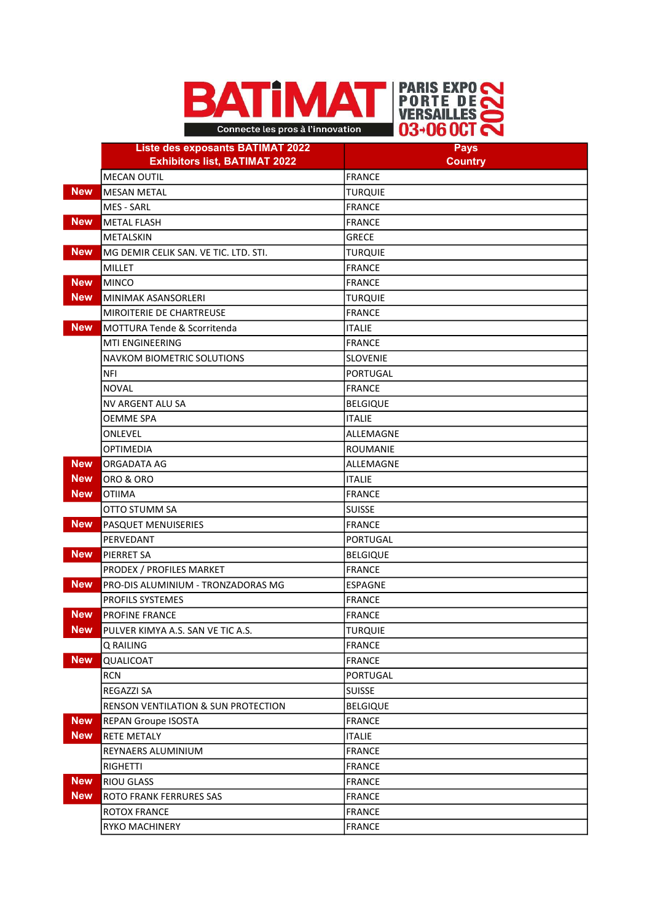



|            | <b>Liste des exposants BATIMAT 2022</b> | <b>Pays</b>     |
|------------|-----------------------------------------|-----------------|
|            | <b>Exhibitors list, BATIMAT 2022</b>    | <b>Country</b>  |
|            | <b>MECAN OUTIL</b>                      | FRANCE          |
| <b>New</b> | <b>MESAN METAL</b>                      | <b>TURQUIE</b>  |
|            | <b>MES - SARL</b>                       | FRANCE          |
| <b>New</b> | <b>METAL FLASH</b>                      | FRANCE          |
|            | METALSKIN                               | <b>GRECE</b>    |
| <b>New</b> | MG DEMIR CELIK SAN. VE TIC. LTD. STI.   | TURQUIE         |
|            | <b>MILLET</b>                           | <b>FRANCE</b>   |
| <b>New</b> | <b>MINCO</b>                            | FRANCE          |
| <b>New</b> | <b>MINIMAK ASANSORLERI</b>              | <b>TURQUIE</b>  |
|            | MIROITERIE DE CHARTREUSE                | FRANCE          |
| <b>New</b> | <b>MOTTURA Tende &amp; Scorritenda</b>  | <b>ITALIE</b>   |
|            | MTI ENGINEERING                         | <b>FRANCE</b>   |
|            | <b>NAVKOM BIOMETRIC SOLUTIONS</b>       | <b>SLOVENIE</b> |
|            | NFI                                     | PORTUGAL        |
|            | <b>NOVAL</b>                            | FRANCE          |
|            | NV ARGENT ALU SA                        | <b>BELGIQUE</b> |
|            | <b>OEMME SPA</b>                        | <b>ITALIE</b>   |
|            | ONLEVEL                                 | ALLEMAGNE       |
|            | <b>OPTIMEDIA</b>                        | ROUMANIE        |
| <b>New</b> | ORGADATA AG                             | ALLEMAGNE       |
| <b>New</b> | ORO & ORO                               | <b>ITALIE</b>   |
| <b>New</b> | OTIIMA                                  | <b>FRANCE</b>   |
|            | OTTO STUMM SA                           | <b>SUISSE</b>   |
| <b>New</b> | PASQUET MENUISERIES                     | FRANCE          |
|            | PERVEDANT                               | PORTUGAL        |
| <b>New</b> | PIERRET SA                              | <b>BELGIQUE</b> |
|            | PRODEX / PROFILES MARKET                | FRANCE          |
| <b>New</b> | PRO-DIS ALUMINIUM - TRONZADORAS MG      | <b>ESPAGNE</b>  |
|            | PROFILS SYSTEMES                        | FRANCE          |
| New        | <b>PROFINE FRANCE</b>                   | FRANCE          |
| <b>New</b> | PULVER KIMYA A.S. SAN VE TIC A.S.       | <b>TURQUIE</b>  |
|            | Q RAILING                               | FRANCE          |
| <b>New</b> | QUALICOAT                               | FRANCE          |
|            | <b>RCN</b>                              | PORTUGAL        |
|            | <b>REGAZZI SA</b>                       | <b>SUISSE</b>   |
|            | RENSON VENTILATION & SUN PROTECTION     | <b>BELGIQUE</b> |
| <b>New</b> | <b>REPAN Groupe ISOSTA</b>              | <b>FRANCE</b>   |
| <b>New</b> | <b>RETE METALY</b>                      | <b>ITALIE</b>   |
|            | <b>REYNAERS ALUMINIUM</b>               | FRANCE          |
|            | <b>RIGHETTI</b>                         | FRANCE          |
| <b>New</b> | <b>RIOU GLASS</b>                       | FRANCE          |
| <b>New</b> | ROTO FRANK FERRURES SAS                 | FRANCE          |
|            | ROTOX FRANCE                            | FRANCE          |
|            | RYKO MACHINERY                          | <b>FRANCE</b>   |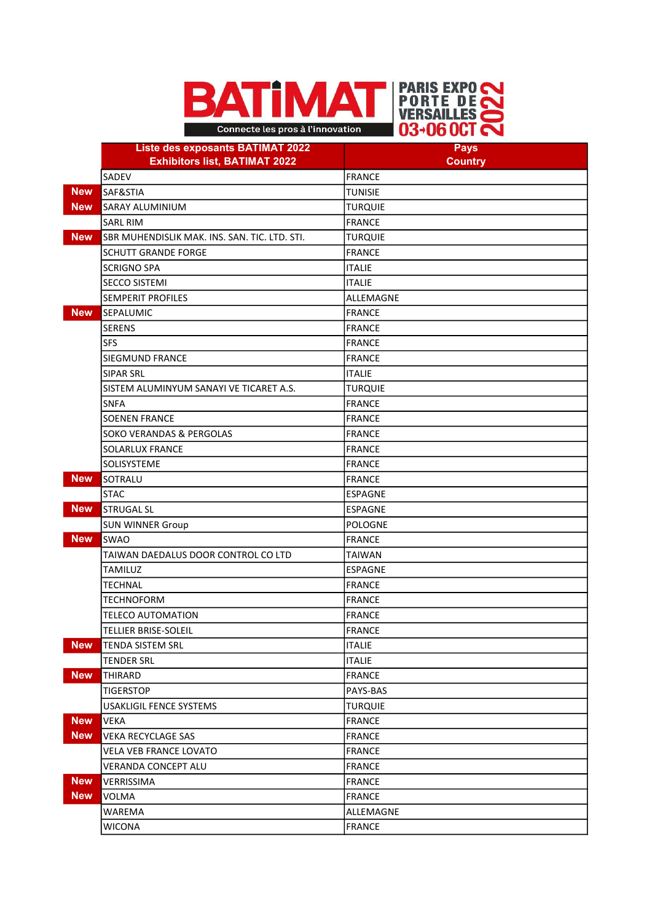



|            | <b>Liste des exposants BATIMAT 2022</b><br><b>Exhibitors list, BATIMAT 2022</b> | <b>Pays</b><br><b>Country</b> |
|------------|---------------------------------------------------------------------------------|-------------------------------|
|            | SADEV                                                                           | <b>FRANCE</b>                 |
| <b>New</b> | SAF&STIA                                                                        | <b>TUNISIE</b>                |
| <b>New</b> | <b>SARAY ALUMINIUM</b>                                                          | <b>TURQUIE</b>                |
|            | <b>SARL RIM</b>                                                                 | FRANCE                        |
| <b>New</b> | SBR MUHENDISLIK MAK. INS. SAN. TIC. LTD. STI.                                   | <b>TURQUIE</b>                |
|            | <b>SCHUTT GRANDE FORGE</b>                                                      | FRANCE                        |
|            | <b>SCRIGNO SPA</b>                                                              | <b>ITALIE</b>                 |
|            | <b>SECCO SISTEMI</b>                                                            | <b>ITALIE</b>                 |
|            | <b>SEMPERIT PROFILES</b>                                                        | ALLEMAGNE                     |
| <b>New</b> | SEPALUMIC                                                                       | <b>FRANCE</b>                 |
|            | <b>SERENS</b>                                                                   | FRANCE                        |
|            | <b>SFS</b>                                                                      | FRANCE                        |
|            | SIEGMUND FRANCE                                                                 | FRANCE                        |
|            | <b>SIPAR SRL</b>                                                                | <b>ITALIE</b>                 |
|            | SISTEM ALUMINYUM SANAYI VE TICARET A.S.                                         | <b>TURQUIE</b>                |
|            | <b>SNFA</b>                                                                     | FRANCE                        |
|            | <b>SOENEN FRANCE</b>                                                            | FRANCE                        |
|            | <b>SOKO VERANDAS &amp; PERGOLAS</b>                                             | <b>FRANCE</b>                 |
|            | <b>SOLARLUX FRANCE</b>                                                          | FRANCE                        |
|            | SOLISYSTEME                                                                     | FRANCE                        |
| <b>New</b> | SOTRALU                                                                         | FRANCE                        |
|            | <b>STAC</b>                                                                     | <b>ESPAGNE</b>                |
| <b>New</b> | <b>STRUGAL SL</b>                                                               | <b>ESPAGNE</b>                |
|            | <b>SUN WINNER Group</b>                                                         | POLOGNE                       |
| <b>New</b> | <b>SWAO</b>                                                                     | FRANCE                        |
|            | TAIWAN DAEDALUS DOOR CONTROL CO LTD                                             | <b>TAIWAN</b>                 |
|            | TAMILUZ                                                                         | <b>ESPAGNE</b>                |
|            | <b>TECHNAL</b>                                                                  | FRANCE                        |
|            | <b>TECHNOFORM</b>                                                               | FRANCE                        |
|            | TELECO AUTOMATION                                                               | FRANCE                        |
|            | TELLIER BRISE-SOLEIL                                                            | <b>FRANCE</b>                 |
| <b>New</b> | TENDA SISTEM SRL                                                                | <b>ITALIE</b>                 |
|            | <b>TENDER SRL</b>                                                               | <b>ITALIE</b>                 |
| <b>New</b> | THIRARD                                                                         | <b>FRANCE</b>                 |
|            | <b>TIGERSTOP</b>                                                                | PAYS-BAS                      |
|            | <b>USAKLIGIL FENCE SYSTEMS</b>                                                  | <b>TURQUIE</b>                |
| <b>New</b> | <b>VEKA</b>                                                                     | FRANCE                        |
| <b>New</b> | VEKA RECYCLAGE SAS                                                              | <b>FRANCE</b>                 |
|            | <b>VELA VEB FRANCE LOVATO</b>                                                   | FRANCE                        |
|            | <b>VERANDA CONCEPT ALU</b>                                                      | <b>FRANCE</b>                 |
| <b>New</b> | VERRISSIMA                                                                      | <b>FRANCE</b>                 |
| <b>New</b> | VOLMA                                                                           | FRANCE                        |
|            | WAREMA                                                                          | ALLEMAGNE                     |
|            | WICONA                                                                          | <b>FRANCE</b>                 |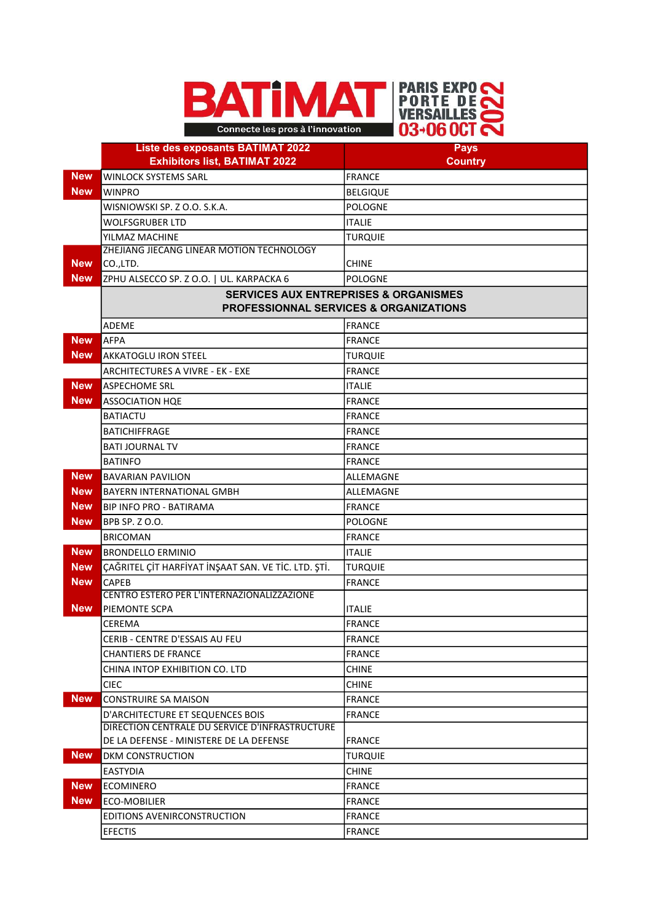

|            | <b>Liste des exposants BATIMAT 2022</b>                     | <b>Pays</b>                                      |
|------------|-------------------------------------------------------------|--------------------------------------------------|
|            | <b>Exhibitors list, BATIMAT 2022</b>                        | <b>Country</b>                                   |
| New        | WINLOCK SYSTEMS SARL                                        | <b>FRANCE</b>                                    |
| <b>New</b> | <b>WINPRO</b>                                               | <b>BELGIQUE</b>                                  |
|            | WISNIOWSKI SP. Z O.O. S.K.A.                                | <b>POLOGNE</b>                                   |
|            | <b>WOLFSGRUBER LTD</b>                                      | <b>ITALIE</b>                                    |
|            | YILMAZ MACHINE                                              | <b>TURQUIE</b>                                   |
|            | ZHEJIANG JIECANG LINEAR MOTION TECHNOLOGY                   |                                                  |
| <b>New</b> | CO.,LTD.                                                    | <b>CHINE</b>                                     |
| <b>New</b> | ZPHU ALSECCO SP. Z O.O.   UL. KARPACKA 6                    | POLOGNE                                          |
|            |                                                             | <b>SERVICES AUX ENTREPRISES &amp; ORGANISMES</b> |
|            |                                                             | PROFESSIONNAL SERVICES & ORGANIZATIONS           |
|            | ADEME                                                       | <b>FRANCE</b>                                    |
| New        | <b>AFPA</b>                                                 | FRANCE                                           |
| New        | <b>AKKATOGLU IRON STEEL</b>                                 | <b>TURQUIE</b>                                   |
|            | <b>ARCHITECTURES A VIVRE - EK - EXE</b>                     | <b>FRANCE</b>                                    |
| <b>New</b> | <b>ASPECHOME SRL</b>                                        | <b>ITALIE</b>                                    |
| <b>New</b> | <b>ASSOCIATION HOE</b>                                      | FRANCE                                           |
|            | <b>BATIACTU</b>                                             | FRANCE                                           |
|            | <b>BATICHIFFRAGE</b>                                        | <b>FRANCE</b>                                    |
|            | <b>BATI JOURNAL TV</b>                                      | FRANCE                                           |
|            | <b>BATINFO</b>                                              | <b>FRANCE</b>                                    |
| <b>New</b> | <b>BAVARIAN PAVILION</b>                                    | ALLEMAGNE                                        |
| New        | <b>BAYERN INTERNATIONAL GMBH</b>                            | ALLEMAGNE                                        |
| <b>New</b> | <b>BIP INFO PRO - BATIRAMA</b>                              | <b>FRANCE</b>                                    |
| New        | BPB SP. Z O.O.                                              | <b>POLOGNE</b>                                   |
|            | <b>BRICOMAN</b>                                             | FRANCE                                           |
| <b>New</b> | <b>BRONDELLO ERMINIO</b>                                    | <b>ITALIE</b>                                    |
| <b>New</b> | ÇAĞRITEL ÇİT HARFİYAT İNŞAAT SAN. VE TİC. LTD. ŞTİ.         | <b>TURQUIE</b>                                   |
| <b>New</b> | <b>CAPEB</b>                                                | FRANCE                                           |
| New        | CENTRO ESTERO PER L'INTERNAZIONALIZZAZIONE<br>PIEMONTE SCPA | <b>ITALIE</b>                                    |
|            | CEREMA                                                      | <b>FRANCE</b>                                    |
|            | CERIB - CENTRE D'ESSAIS AU FEU                              | FRANCE                                           |
|            | CHANTIERS DE FRANCE                                         | FRANCE                                           |
|            | CHINA INTOP EXHIBITION CO. LTD                              | <b>CHINE</b>                                     |
|            |                                                             |                                                  |
| <b>New</b> | <b>CIEC</b><br><b>CONSTRUIRE SA MAISON</b>                  | <b>CHINE</b><br><b>FRANCE</b>                    |
|            | D'ARCHITECTURE ET SEQUENCES BOIS                            | <b>FRANCE</b>                                    |
|            | DIRECTION CENTRALE DU SERVICE D'INFRASTRUCTURE              |                                                  |
|            | DE LA DEFENSE - MINISTERE DE LA DEFENSE                     | <b>FRANCE</b>                                    |
| New        | DKM CONSTRUCTION                                            | <b>TURQUIE</b>                                   |
|            | <b>EASTYDIA</b>                                             | <b>CHINE</b>                                     |
| <b>New</b> | ECOMINERO                                                   | <b>FRANCE</b>                                    |
| <b>New</b> | <b>ECO-MOBILIER</b>                                         | FRANCE                                           |
|            | EDITIONS AVENIRCONSTRUCTION                                 | FRANCE                                           |
|            | <b>EFECTIS</b>                                              | <b>FRANCE</b>                                    |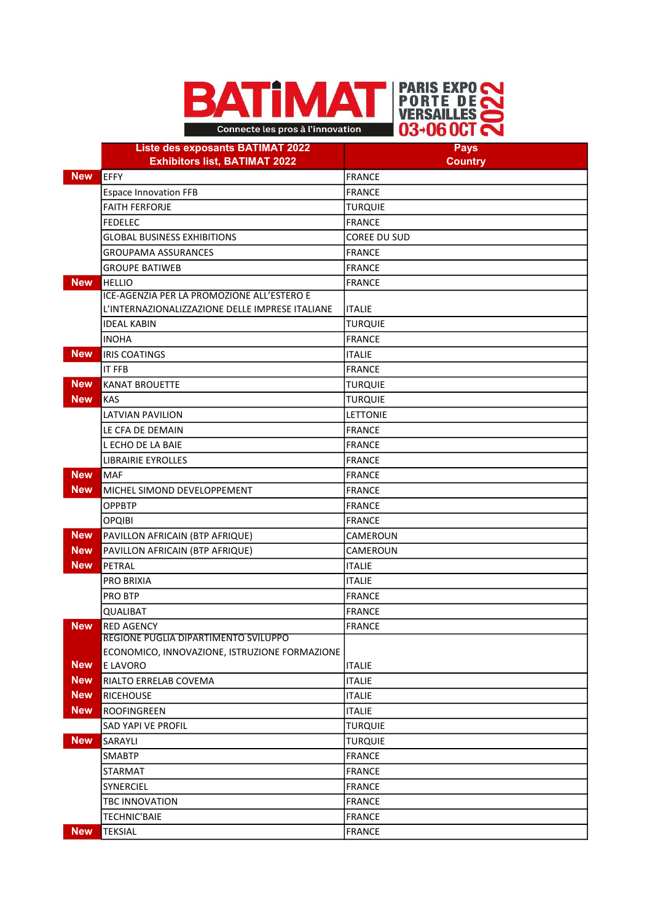



|            | <b>Liste des exposants BATIMAT 2022</b>         | <b>Pays</b>         |
|------------|-------------------------------------------------|---------------------|
|            | <b>Exhibitors list, BATIMAT 2022</b>            | <b>Country</b>      |
| <b>New</b> | <b>EFFY</b>                                     | FRANCE              |
|            | <b>Espace Innovation FFB</b>                    | FRANCE              |
|            | <b>FAITH FERFORJE</b>                           | <b>TURQUIE</b>      |
|            | <b>FEDELEC</b>                                  | <b>FRANCE</b>       |
|            | <b>GLOBAL BUSINESS EXHIBITIONS</b>              | <b>COREE DU SUD</b> |
|            | <b>GROUPAMA ASSURANCES</b>                      | FRANCE              |
|            | <b>GROUPE BATIWEB</b>                           | <b>FRANCE</b>       |
| <b>New</b> | <b>HELLIO</b>                                   | FRANCE              |
|            | ICE-AGENZIA PER LA PROMOZIONE ALL'ESTERO E      |                     |
|            | L'INTERNAZIONALIZZAZIONE DELLE IMPRESE ITALIANE | <b>ITALIE</b>       |
|            | <b>IDEAL KABIN</b>                              | <b>TURQUIE</b>      |
|            | <b>INOHA</b>                                    | <b>FRANCE</b>       |
| <b>New</b> | <b>IRIS COATINGS</b>                            | <b>ITALIE</b>       |
|            | <b>IT FFB</b>                                   | FRANCE              |
| <b>New</b> | <b>KANAT BROUETTE</b>                           | <b>TURQUIE</b>      |
| <b>New</b> | <b>KAS</b>                                      | <b>TURQUIE</b>      |
|            | LATVIAN PAVILION                                | <b>LETTONIE</b>     |
|            | LE CFA DE DEMAIN                                | <b>FRANCE</b>       |
|            | L ECHO DE LA BAIE                               | FRANCE              |
|            | <b>LIBRAIRIE EYROLLES</b>                       | FRANCE              |
| <b>New</b> | <b>MAF</b>                                      | FRANCE              |
| <b>New</b> | MICHEL SIMOND DEVELOPPEMENT                     | FRANCE              |
|            | <b>OPPBTP</b>                                   | FRANCE              |
|            | <b>OPQIBI</b>                                   | FRANCE              |
| <b>New</b> | PAVILLON AFRICAIN (BTP AFRIQUE)                 | <b>CAMEROUN</b>     |
| <b>New</b> | PAVILLON AFRICAIN (BTP AFRIQUE)                 | <b>CAMEROUN</b>     |
| <b>New</b> | PETRAL                                          | <b>ITALIE</b>       |
|            | <b>PRO BRIXIA</b>                               | <b>ITALIE</b>       |
|            | <b>PRO BTP</b>                                  | FRANCE              |
|            | <b>QUALIBAT</b>                                 | <b>FRANCE</b>       |
| <b>New</b> | <b>RED AGENCY</b>                               | FRANCE              |
|            | REGIONE PUGLIA DIPARTIMENTO SVILUPPO            |                     |
|            | ECONOMICO, INNOVAZIONE, ISTRUZIONE FORMAZIONE   |                     |
| <b>New</b> | <b>E LAVORO</b>                                 | <b>ITALIE</b>       |
| <b>New</b> | RIALTO ERRELAB COVEMA                           | <b>ITALIE</b>       |
| <b>New</b> | <b>RICEHOUSE</b>                                | <b>ITALIE</b>       |
| <b>New</b> | <b>ROOFINGREEN</b>                              | <b>ITALIE</b>       |
|            | <b>SAD YAPI VE PROFIL</b>                       | <b>TURQUIE</b>      |
| <b>New</b> | SARAYLI                                         | <b>TURQUIE</b>      |
|            | <b>SMABTP</b>                                   | FRANCE              |
|            | <b>STARMAT</b>                                  | FRANCE              |
|            | <b>SYNERCIEL</b>                                | <b>FRANCE</b>       |
|            | <b>TBC INNOVATION</b>                           | FRANCE              |
|            | <b>TECHNIC'BAIE</b>                             | <b>FRANCE</b>       |
| <b>New</b> | <b>TEKSIAL</b>                                  | <b>FRANCE</b>       |